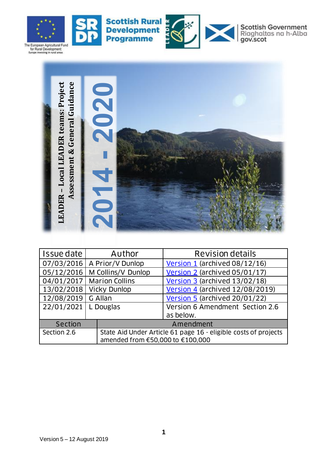

 $\mathbf{S}_0$ 







Scottish Government<br>Riaghaltas na h-Alba<br>gov.scot



| Assessmen<br>LEADER - Local                     |                       |                                                                 |  |
|-------------------------------------------------|-----------------------|-----------------------------------------------------------------|--|
| Issue date                                      | Author                | <b>Revision details</b>                                         |  |
| 07/03/2016                                      | A Prior/V Dunlop      | Version 1 (archived 08/12/16)                                   |  |
| 05/12/2016                                      | M Collins/V Dunlop    | Version 2 (archived 05/01/17)                                   |  |
| 04/01/2017                                      | <b>Marion Collins</b> | Version 3 (archived 13/02/18)                                   |  |
| 13/02/2018                                      | <b>Vicky Dunlop</b>   | Version 4 (archived 12/08/2019)                                 |  |
| 12/08/2019                                      | G Allan               | Version 5 (archived 20/01/22)                                   |  |
| 22/01/2021                                      | L Douglas             | Version 6 Amendment Section 2.6                                 |  |
|                                                 |                       | as below.                                                       |  |
| <b>Section</b>                                  | Amendment             |                                                                 |  |
| Section 2.6<br>amended from €50,000 to €100,000 |                       | State Aid Under Article 61 page 16 - eligible costs of projects |  |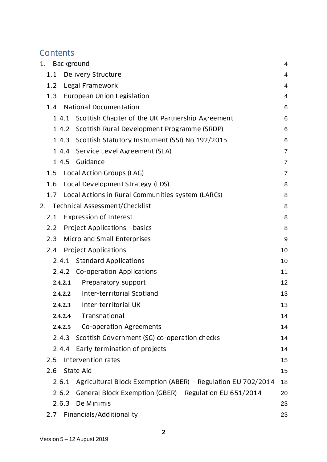## **Contents**

| Background<br>1.                                                      | 4              |  |  |  |
|-----------------------------------------------------------------------|----------------|--|--|--|
| 1.1 Delivery Structure                                                | 4              |  |  |  |
| Legal Framework<br>1.2                                                |                |  |  |  |
| 1.3 European Union Legislation                                        | 4              |  |  |  |
| <b>National Documentation</b><br>1.4                                  | 6              |  |  |  |
| Scottish Chapter of the UK Partnership Agreement<br>1.4.1             | 6              |  |  |  |
| 1.4.2 Scottish Rural Development Programme (SRDP)                     | 6              |  |  |  |
| 1.4.3 Scottish Statutory Instrument (SSI) No 192/2015                 | 6              |  |  |  |
| 1.4.4 Service Level Agreement (SLA)                                   | $\overline{7}$ |  |  |  |
| Guidance<br>1.4.5                                                     | $\overline{7}$ |  |  |  |
| Local Action Groups (LAG)<br>1.5                                      | $\overline{7}$ |  |  |  |
| 1.6<br>Local Development Strategy (LDS)                               | 8              |  |  |  |
| 1.7 Local Actions in Rural Communities system (LARCs)                 | 8              |  |  |  |
| Technical Assessment/Checklist<br>2.                                  | 8              |  |  |  |
| <b>Expression of Interest</b><br>2.1                                  | 8              |  |  |  |
| 2.2 Project Applications - basics                                     | 8              |  |  |  |
| 2.3<br>Micro and Small Enterprises                                    | 9              |  |  |  |
| <b>Project Applications</b><br>2.4                                    | 10             |  |  |  |
| 2.4.1 Standard Applications                                           | 10             |  |  |  |
| 2.4.2 Co-operation Applications                                       | 11             |  |  |  |
| Preparatory support<br>2.4.2.1                                        | 12             |  |  |  |
| Inter-territorial Scotland<br>2.4.2.2                                 | 13             |  |  |  |
| 2.4.2.3 Inter-territorial UK                                          | 13             |  |  |  |
| Transnational<br>2.4.2.4                                              | 14             |  |  |  |
| Co-operation Agreements<br>2.4.2.5                                    | 14             |  |  |  |
| 2.4.3 Scottish Government (SG) co-operation checks                    | 14             |  |  |  |
| Early termination of projects<br>2.4.4                                | 14             |  |  |  |
| Intervention rates<br>2.5                                             | 15             |  |  |  |
| 2.6<br>State Aid                                                      | 15             |  |  |  |
| Agricultural Block Exemption (ABER) - Regulation EU 702/2014<br>2.6.1 | 18             |  |  |  |
| General Block Exemption (GBER) - Regulation EU 651/2014<br>2.6.2      | 20             |  |  |  |
| De Minimis<br>2.6.3                                                   | 23             |  |  |  |
| Financials/Additionality<br>2.7                                       | 23             |  |  |  |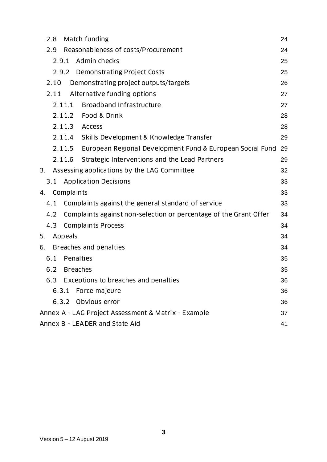| 2.8<br>Match funding<br>24                                                     |    |  |  |  |
|--------------------------------------------------------------------------------|----|--|--|--|
| Reasonableness of costs/Procurement<br>2.9<br>24                               |    |  |  |  |
| Admin checks<br>2.9.1<br>25                                                    |    |  |  |  |
| 2.9.2 Demonstrating Project Costs<br>25                                        |    |  |  |  |
| Demonstrating project outputs/targets<br>2.10                                  | 26 |  |  |  |
| Alternative funding options<br>2.11                                            | 27 |  |  |  |
| <b>Broadband Infrastructure</b><br>2.11.1                                      | 27 |  |  |  |
| 2.11.2 Food & Drink                                                            | 28 |  |  |  |
| 2.11.3<br><b>Access</b>                                                        | 28 |  |  |  |
| 2.11.4<br>Skills Development & Knowledge Transfer                              | 29 |  |  |  |
| 2.11.5<br>European Regional Development Fund & European Social Fund            | 29 |  |  |  |
| Strategic Interventions and the Lead Partners<br>2.11.6                        | 29 |  |  |  |
| Assessing applications by the LAG Committee<br>3.                              | 32 |  |  |  |
| <b>Application Decisions</b><br>3.1                                            | 33 |  |  |  |
| Complaints<br>33<br>4.                                                         |    |  |  |  |
| Complaints against the general standard of service<br>4.1                      | 33 |  |  |  |
| 4.2<br>Complaints against non-selection or percentage of the Grant Offer<br>34 |    |  |  |  |
| 4.3<br><b>Complaints Process</b><br>34                                         |    |  |  |  |
| Appeals<br>5.<br>34                                                            |    |  |  |  |
| Breaches and penalties<br>6.<br>34                                             |    |  |  |  |
| 6.1<br>Penalties<br>35                                                         |    |  |  |  |
| 6.2<br><b>Breaches</b><br>35                                                   |    |  |  |  |
| 6.3 Exceptions to breaches and penalties<br>36                                 |    |  |  |  |
| 6.3.1<br>Force majeure<br>36                                                   |    |  |  |  |
| 6.3.2<br>Obvious error<br>36                                                   |    |  |  |  |
| Annex A - LAG Project Assessment & Matrix - Example<br>37                      |    |  |  |  |
| Annex B - LEADER and State Aid<br>41                                           |    |  |  |  |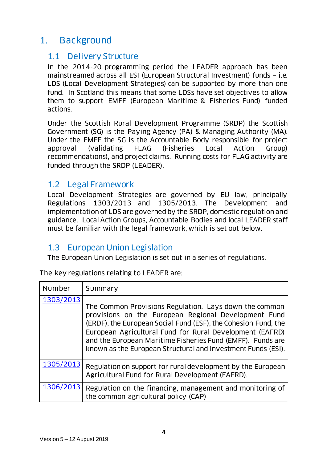# <span id="page-3-0"></span>1. Background

#### <span id="page-3-1"></span>1.1 Delivery Structure

In the 2014-20 programming period the LEADER approach has been mainstreamed across all ESI (European Structural Investment) funds – i.e. LDS (Local Development Strategies) can be supported by more than one fund. In Scotland this means that some LDSs have set objectives to allow them to support EMFF (European Maritime & Fisheries Fund) funded actions.

Under the Scottish Rural Development Programme (SRDP) the Scottish Government (SG) is the Paying Agency (PA) & Managing Authority (MA). Under the EMFF the SG is the Accountable Body responsible for project approval (validating FLAG (Fisheries Local Action Group) recommendations), and project claims. Running costs for FLAG activity are funded through the SRDP (LEADER).

#### <span id="page-3-2"></span>1.2 Legal Framework

Local Development Strategies are governed by EU law, principally Regulations 1303/2013 and 1305/2013. The Development and implementation of LDS are governed by the SRDP, domestic regulation and guidance. Local Action Groups, Accountable Bodies and local LEADER staff must be familiar with the legal framework, which is set out below.

### <span id="page-3-3"></span>1.3 European Union Legislation

The European Union Legislation is set out in a series of regulations.

The key regulations relating to LEADER are:

| Number    | Summary                                                                                                                                                                                                                                                                                                                                                                    |
|-----------|----------------------------------------------------------------------------------------------------------------------------------------------------------------------------------------------------------------------------------------------------------------------------------------------------------------------------------------------------------------------------|
| 1303/2013 | The Common Provisions Regulation. Lays down the common<br>provisions on the European Regional Development Fund<br>(ERDF), the European Social Fund (ESF), the Cohesion Fund, the<br>European Agricultural Fund for Rural Development (EAFRD)<br>and the European Maritime Fisheries Fund (EMFF). Funds are<br>known as the European Structural and Investment Funds (ESI). |
| 1305/2013 | Regulation on support for rural development by the European<br>Agricultural Fund for Rural Development (EAFRD).                                                                                                                                                                                                                                                            |
| 1306/2013 | Regulation on the financing, management and monitoring of<br>the common agricultural policy (CAP)                                                                                                                                                                                                                                                                          |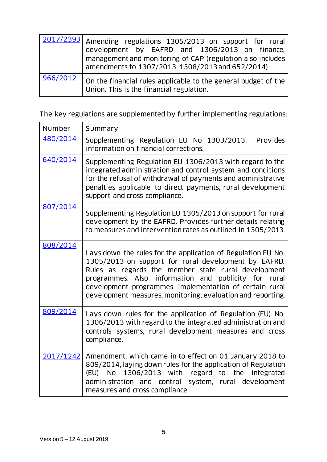|          | 2017/2393 Amending regulations 1305/2013 on support for rural<br>development by EAFRD and 1306/2013 on finance,<br>management and monitoring of CAP (regulation also includes<br>amendments to 1307/2013, 1308/2013 and 652/2014) |
|----------|-----------------------------------------------------------------------------------------------------------------------------------------------------------------------------------------------------------------------------------|
| 966/2012 | On the financial rules applicable to the general budget of the<br>Union. This is the financial regulation.                                                                                                                        |

The key regulations are supplemented by further implementing regulations:

| Number    | Summary                                                                                                                                                                                                                                                                                                                                                          |
|-----------|------------------------------------------------------------------------------------------------------------------------------------------------------------------------------------------------------------------------------------------------------------------------------------------------------------------------------------------------------------------|
| 480/2014  | Supplementing Regulation EU No 1303/2013. Provides<br>information on financial corrections.                                                                                                                                                                                                                                                                      |
| 640/2014  | Supplementing Regulation EU 1306/2013 with regard to the<br>integrated administration and control system and conditions<br>for the refusal of withdrawal of payments and administrative<br>penalties applicable to direct payments, rural development<br>support and cross compliance.                                                                           |
| 807/2014  | Supplementing Regulation EU 1305/2013 on support for rural<br>development by the EAFRD. Provides further details relating<br>to measures and intervention rates as outlined in 1305/2013.                                                                                                                                                                        |
| 808/2014  | Lays down the rules for the application of Regulation EU No.<br>1305/2013 on support for rural development by EAFRD.<br>Rules as regards the member state rural development<br>information and publicity for rural<br>programmes. Also<br>development programmes, implementation of certain rural<br>development measures, monitoring, evaluation and reporting. |
| 809/2014  | Lays down rules for the application of Regulation (EU) No.<br>1306/2013 with regard to the integrated administration and<br>controls systems, rural development measures and cross<br>compliance.                                                                                                                                                                |
| 2017/1242 | Amendment, which came in to effect on 01 January 2018 to<br>809/2014, laying down rules for the application of Regulation<br>1306/2013 with regard to the<br>(EU) No<br>integrated<br>administration and control system, rural development<br>measures and cross compliance                                                                                      |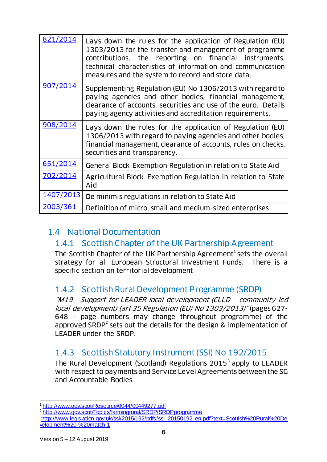| 821/2014  | Lays down the rules for the application of Regulation (EU)<br>1303/2013 for the transfer and management of programme<br>contributions, the reporting on financial instruments,<br>technical characteristics of information and communication<br>measures and the system to record and store data. |
|-----------|---------------------------------------------------------------------------------------------------------------------------------------------------------------------------------------------------------------------------------------------------------------------------------------------------|
| 907/2014  | Supplementing Regulation (EU) No 1306/2013 with regard to<br>paying agencies and other bodies, financial management,<br>clearance of accounts, securities and use of the euro. Details<br>paying agency activities and accreditation requirements.                                                |
| 908/2014  | Lays down the rules for the application of Regulation (EU)<br>1306/2013 with regard to paying agencies and other bodies,<br>financial management, clearance of accounts, rules on checks,<br>securities and transparency.                                                                         |
| 651/2014  | General Block Exemption Regulation in relation to State Aid                                                                                                                                                                                                                                       |
| 702/2014  | Agricultural Block Exemption Regulation in relation to State<br>Aid                                                                                                                                                                                                                               |
| 1407/2013 | De minimis regulations in relation to State Aid                                                                                                                                                                                                                                                   |
| 2003/361  | Definition of micro, small and medium-sized enterprises                                                                                                                                                                                                                                           |

### <span id="page-5-1"></span><span id="page-5-0"></span>1.4 National Documentation

### 1.4.1 Scottish Chapter of the UK Partnership Agreement

The Scottish Chapter of the UK Partnership Agreement<sup>1</sup> sets the overall strategy for all European Structural Investment Funds. There is a specific section on territorial development

### <span id="page-5-2"></span>1.4.2 Scottish Rural Development Programme (SRDP)

"M19 - Support for LEADER local development (CLLD – community-led local development) (art 35 Regulation (EU) No 1303/2013)" (pages 627- 648 – page numbers may change throughout programme) of the approved SRDP<sup>2</sup> sets out the details for the design & implementation of LEADER under the SRDP.

### <span id="page-5-3"></span>1.4.3 Scottish Statutory Instrument (SSI) No 192/2015

The Rural Development (Scotland) Regulations 2015<sup>3</sup> apply to LEADER with respect to payments and Service Level Agreements between the SG and Accountable Bodies.

l <sup>1</sup> <http://www.gov.scot/Resource/0044/00449277.pdf>

<sup>&</sup>lt;sup>2</sup> <http://www.gov.scot/Topics/farmingrural/SRDP/SRDPprogramme>

<sup>3</sup>[http://www.legislation.gov.uk/ssi/2015/192/pdfs/ssi\\_20150192\\_en.pdf?text=Scottish%20Rural%20De](http://www.legislation.gov.uk/ssi/2015/192/pdfs/ssi_20150192_en.pdf?text=Scottish%20Rural%20Development%20-%20match-1) [velopment%20-%20match-1](http://www.legislation.gov.uk/ssi/2015/192/pdfs/ssi_20150192_en.pdf?text=Scottish%20Rural%20Development%20-%20match-1)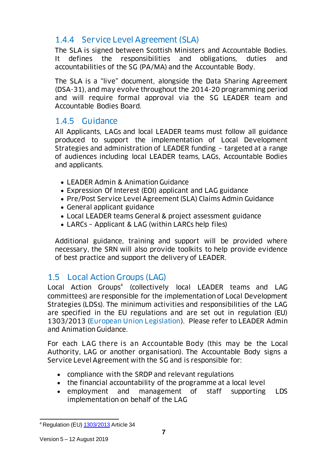## <span id="page-6-0"></span>1.4.4 Service Level Agreement (SLA)

The SLA is signed between Scottish Ministers and Accountable Bodies. It defines the responsibilities and obligations, duties and accountabilities of the SG (PA/MA) and the Accountable Body.

The SLA is a "live" document, alongside the Data Sharing Agreement (DSA-31), and may evolve throughout the 2014-20 programming period and will require formal approval via the SG LEADER team and Accountable Bodies Board.

### <span id="page-6-1"></span>1.4.5 Guidance

All Applicants, LAGs and local LEADER teams must follow all guidance produced to support the implementation of Local Development Strategies and administration of LEADER funding – targeted at a range of audiences including local LEADER teams, LAGs, Accountable Bodies and applicants.

- LEADER Admin & Animation Guidance
- Expression Of Interest (EOI) applicant and LAG guidance
- Pre/Post Service Level Agreement (SLA) Claims Admin Guidance
- General applicant guidance
- Local LEADER teams General & project assessment guidance
- LARCs Applicant & LAG (within LARCs help files)

Additional guidance, training and support will be provided where necessary, the SRN will also provide toolkits to help provide evidence of best practice and support the delivery of LEADER.

### <span id="page-6-2"></span>1.5 Local Action Groups (LAG)

Local Action Groups<sup>4</sup> (collectively local LEADER teams and LAG committees) are responsible for the implementation of Local Development Strategies (LDSs). The minimum activities and responsibilities of the LAG are specified in the EU regulations and are set out in regulation (EU) 1303/2013 [\(European Union Legislation](#page-3-3)). Please refer to LEADER Admin and Animation Guidance.

For each LAG there is an Accountable Body (this may be the Local Authority, LAG or another organisation). The Accountable Body signs a Service Level Agreement with the SG and is responsible for:

- compliance with the SRDP and relevant regulations
- the financial accountability of the programme at a local level
- employment and management of staff supporting LDS implementation on behalf of the LAG

l <sup>4</sup> Regulation (EU) <u>1303/2013</u> Article 34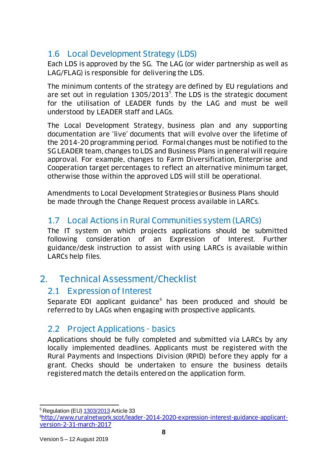## <span id="page-7-0"></span>1.6 Local Development Strategy (LDS)

Each LDS is approved by the SG. The LAG (or wider partnership as well as LAG/FLAG) is responsible for delivering the LDS.

The minimum contents of the strategy are defined by EU regulations and are set out in regulation  $1305/2013^5$ . The LDS is the strategic document for the utilisation of LEADER funds by the LAG and must be well understood by LEADER staff and LAGs.

The Local Development Strategy, business plan and any supporting documentation are 'live' documents that will evolve over the lifetime of the 2014-20 programming period. Formal changes must be notified to the SG LEADER team, changes to LDS and Business Plans in general will require approval. For example, changes to Farm Diversification, Enterprise and Cooperation target percentages to reflect an alternative minimum target, otherwise those within the approved LDS will still be operational.

Amendments to Local Development Strategies or Business Plans should be made through the Change Request process available in LARCs.

### <span id="page-7-1"></span>1.7 Local Actions in Rural Communities system (LARCs)

The IT system on which projects applications should be submitted following consideration of an Expression of Interest. Further guidance/desk instruction to assist with using LARCs is available within LARCs help files.

# <span id="page-7-2"></span>2. Technical Assessment/Checklist

### <span id="page-7-3"></span>2.1 Expression of Interest

Separate EOI applicant guidance<sup>6</sup> has been produced and should be referred to by LAGs when engaging with prospective applicants.

### <span id="page-7-4"></span>2.2 Project Applications - basics

Applications should be fully completed and submitted via LARCs by any locally implemented deadlines. Applicants must be registered with the Rural Payments and Inspections Division (RPID) before they apply for a grant. Checks should be undertaken to ensure the business details registered match the details entered on the application form.

l <sup>5</sup> Regulation (EU) <u>1303/2013</u> Article 33

<sup>6</sup>[http://www.ruralnetwork.scot/leader-2014-2020-expression-interest-guidance-applicant](http://www.ruralnetwork.scot/leader-2014-2020-expression-interest-guidance-applicant-version-2-31-march-2017)[version-2-31-march-2017](http://www.ruralnetwork.scot/leader-2014-2020-expression-interest-guidance-applicant-version-2-31-march-2017)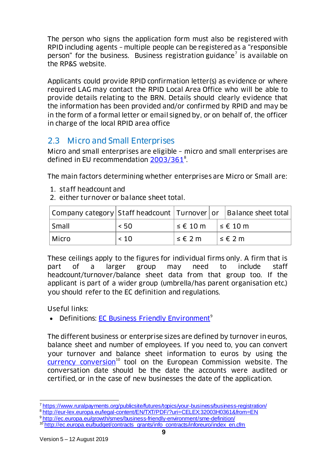The person who signs the application form must also be registered with RPID including agents – multiple people can be registered as a "responsible person" for the business. Business registration guidance<sup>7</sup> is available on the RP&S website.

Applicants could provide RPID confirmation letter(s) as evidence or where required LAG may contact the RPID Local Area Office who will be able to provide details relating to the BRN. Details should clearly evidence that the information has been provided and/or confirmed by RPID and may be in the form of a formal letter or email signed by, or on behalf of, the officer in charge of the local RPID area office

## <span id="page-8-0"></span>2.3 Micro and Small Enterprises

Micro and small enterprises are eligible – micro and small enterprises are defined in EU recommendation [2003/361](http://eur-lex.europa.eu/legal-content/EN/TXT/PDF/?uri=CELEX:32003H0361&from=EN)<sup>8</sup>.

The main factors determining whether enterprises are Micro or Small are:

- 1. staff headcount and
- 2. either turnover or balance sheet total.

| Company category   Staff headcount   Turnover   or   Balance sheet total |         |                                                       |                      |
|--------------------------------------------------------------------------|---------|-------------------------------------------------------|----------------------|
| Small                                                                    | < 50    | $\vert \leq \epsilon$ 10 m $\vert \leq \epsilon$ 10 m |                      |
| Micro                                                                    | $~<$ 10 | $\leq \epsilon$ 2 m                                   | $ \leq \epsilon$ 2 m |

These ceilings apply to the figures for individual firms only. A firm that is part of a larger group may need to include staff headcount/turnover/balance sheet data from that group too. If the applicant is part of a wider group (umbrella/has parent organisation etc.) you should refer to the EC definition and regulations.

Useful links:

• Definitions: [EC Business Friendly Environment](http://ec.europa.eu/growth/smes/business-friendly-environment/sme-definition/index_en.htm)<sup>9</sup>

The different business or enterprise sizes are defined by turnover in euros, balance sheet and number of employees. If you need to, you can convert your turnover and balance sheet information to euros by using the  $\frac{1}{2}$  [currency conversion](http://ec.europa.eu/budget/contracts_grants/info_contracts/inforeuro/index_en.cfm)<sup>10</sup> tool on the European Commission website. The conversation date should be the date the accounts were audited or certified, or in the case of new businesses the date of the application.

<sup>8</sup> <http://eur-lex.europa.eu/legal-content/EN/TXT/PDF/?uri=CELEX:32003H0361&from=EN>

l <sup>7</sup> <https://www.ruralpayments.org/publicsite/futures/topics/your-business/business-registration/>

<sup>9</sup> <http://ec.europa.eu/growth/smes/business-friendly-environment/sme-definition/>

<sup>&</sup>lt;sup>10</sup> [http://ec.europa.eu/budget/contracts\\_grants/info\\_contracts/inforeuro/index\\_en.cfm](http://ec.europa.eu/budget/contracts_grants/info_contracts/inforeuro/index_en.cfm)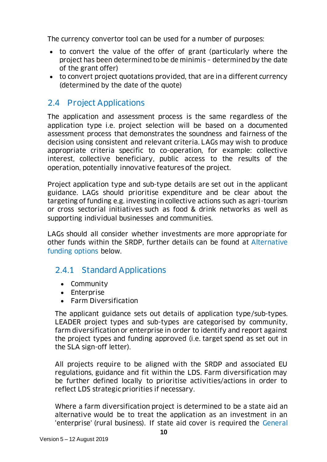The currency convertor tool can be used for a number of purposes:

- to convert the value of the offer of grant (particularly where the project has been determined to be de minimis – determined by the date of the grant offer)
- to convert project quotations provided, that are in a different currency (determined by the date of the quote)

## <span id="page-9-0"></span>2.4 Project Applications

The application and assessment process is the same regardless of the application type i.e. project selection will be based on a documented assessment process that demonstrates the soundness and fairness of the decision using consistent and relevant criteria. LAGs may wish to produce appropriate criteria specific to co-operation, for example: collective interest, collective beneficiary, public access to the results of the operation, potentially innovative features of the project.

Project application type and sub-type details are set out in the applicant guidance. LAGs should prioritise expenditure and be clear about the targeting of funding e.g. investing in collective actions such as agri-tourism or cross sectorial initiatives such as food & drink networks as well as supporting individual businesses and communities.

LAGs should all consider whether investments are more appropriate for other funds within the SRDP, further details can be found at [Alternative](#page-26-0)  [funding options](#page-26-0) below.

### <span id="page-9-1"></span>2.4.1 Standard Applications

- Community
- Enterprise
- Farm Diversification

The applicant guidance sets out details of application type/sub-types. LEADER project types and sub-types are categorised by community, farm diversification or enterprise in order to identify and report against the project types and funding approved (i.e. target spend as set out in the SLA sign-off letter).

All projects require to be aligned with the SRDP and associated EU regulations, guidance and fit within the LDS. Farm diversification may be further defined locally to prioritise activities/actions in order to reflect LDS strategic priorities if necessary.

Where a farm diversification project is determined to be a state aid an alternative would be to treat the application as an investment in an 'enterprise' (rural business). If state aid cover is required the [General](#page-19-0)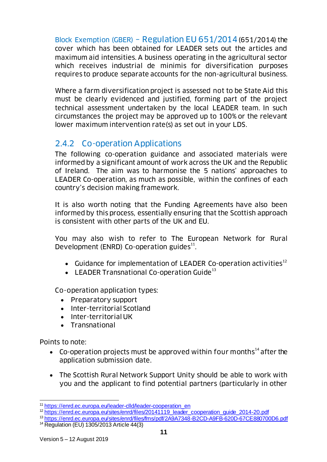Block Exemption (GBER) – [Regulation EU 651/2014](#page-19-0)(651/2014) the cover which has been obtained for LEADER sets out the articles and maximum aid intensities. A business operating in the agricultural sector which receives industrial de minimis for diversification purposes requires to produce separate accounts for the non-agricultural business.

Where a farm diversification project is assessed not to be State Aid this must be clearly evidenced and justified, forming part of the project technical assessment undertaken by the local LEADER team. In such circumstances the project may be approved up to 100% or the relevant lower maximum intervention rate(s) as set out in your LDS.

### <span id="page-10-0"></span>2.4.2 Co-operation Applications

The following co-operation guidance and associated materials were informed by a significant amount of work across the UK and the Republic of Ireland. The aim was to harmonise the 5 nations' approaches to LEADER Co-operation, as much as possible, within the confines of each country's decision making framework.

It is also worth noting that the Funding Agreements have also been informed by this process, essentially ensuring that the Scottish approach is consistent with other parts of the UK and EU.

You may also wish to refer to The European Network for Rural Development (ENRD) Co-operation guides<sup>11</sup>.

- Guidance for implementation of LEADER Co-operation activities<sup>12</sup>
- $\bullet$  LEADER Transnational Co-operation Guide<sup>13</sup>

Co-operation application types:

- Preparatory support
- Inter-territorial Scotland
- Inter-territorial UK
- Transnational

Points to note:

- Co-operation projects must be approved within four months $14$  after the application submission date.
- The Scottish Rural Network Support Unity should be able to work with you and the applicant to find potential partners (particularly in other

<sup>13</sup> <https://enrd.ec.europa.eu/sites/enrd/files/fms/pdf/2A9A7348-B2CD-A9FB-620D-67CE880700D6.pdf>

l <sup>11</sup> [https://enrd.ec.europa.eu/leader-clld/leader-cooperation\\_en](https://enrd.ec.europa.eu/leader-clld/leader-cooperation_en)

<sup>&</sup>lt;sup>12</sup> https://en<u>rd.ec.europa.eu/sites/enrd/files/20141119\_leader\_cooperation\_guide\_2014-20.pdf</u>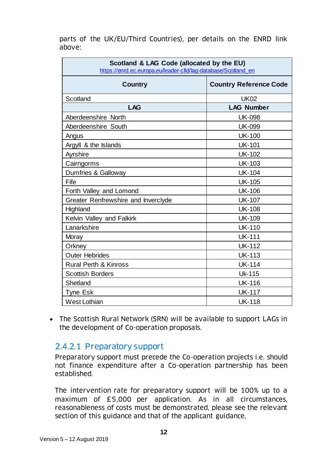parts of the UK/EU/Third Countries), per details on the ENRD link above:

| Scotland & LAG Code (allocated by the EU)<br>https://enrd.ec.europa.eu/leader-clld/lag-database/Scotland en |                               |  |  |
|-------------------------------------------------------------------------------------------------------------|-------------------------------|--|--|
| <b>Country</b>                                                                                              | <b>Country Reference Code</b> |  |  |
| Scotland                                                                                                    | <b>UK02</b>                   |  |  |
| <b>LAG</b>                                                                                                  | <b>LAG Number</b>             |  |  |
| Aberdeenshire North                                                                                         | <b>UK-098</b>                 |  |  |
| Aberdeenshire South                                                                                         | <b>UK-099</b>                 |  |  |
| Angus                                                                                                       | <b>UK-100</b>                 |  |  |
| Argyll & the Islands                                                                                        | <b>UK-101</b>                 |  |  |
| Ayrshire                                                                                                    | <b>UK-102</b>                 |  |  |
| Cairngorms                                                                                                  | <b>UK-103</b>                 |  |  |
| Dumfries & Galloway                                                                                         | <b>UK-104</b>                 |  |  |
| Fife                                                                                                        | <b>UK-105</b>                 |  |  |
| Forth Valley and Lomond                                                                                     | <b>UK-106</b>                 |  |  |
| Greater Renfrewshire and Inverclyde                                                                         | <b>UK-107</b>                 |  |  |
| Highland                                                                                                    | <b>UK-108</b>                 |  |  |
| Kelvin Valley and Falkirk                                                                                   | <b>UK-109</b>                 |  |  |
| Lanarkshire                                                                                                 | <b>UK-110</b>                 |  |  |
| Moray                                                                                                       | <b>UK-111</b>                 |  |  |
| Orkney                                                                                                      | <b>UK-112</b>                 |  |  |
| <b>Outer Hebrides</b>                                                                                       | <b>UK-113</b>                 |  |  |
| <b>Rural Perth &amp; Kinross</b>                                                                            | <b>UK-114</b>                 |  |  |
| <b>Scottish Borders</b>                                                                                     | Uk-115                        |  |  |
| Shetland                                                                                                    | <b>UK-116</b>                 |  |  |
| Tyne Esk                                                                                                    | <b>UK-117</b>                 |  |  |
| <b>West Lothian</b>                                                                                         | <b>UK-118</b>                 |  |  |

• The Scottish Rural Network (SRN) will be available to support LAGs in the development of Co-operation proposals.

#### <span id="page-11-0"></span>2.4.2.1 Preparatory support

Preparatory support must precede the Co-operation projects i.e. should not finance expenditure after a Co-operation partnership has been established.

The intervention rate for preparatory support will be 100% up to a maximum of £5,000 per application. As in all circumstances, reasonableness of costs must be demonstrated, please see the relevant section of this guidance and that of the applicant guidance.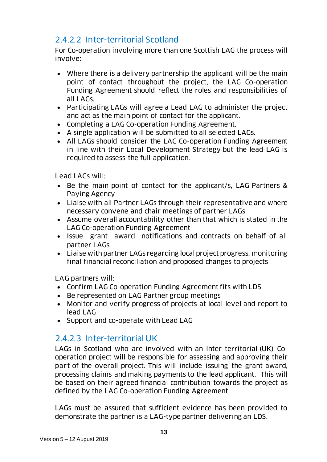## <span id="page-12-0"></span>2.4.2.2 Inter-territorial Scotland

For Co-operation involving more than one Scottish LAG the process will involve:

- Where there is a delivery partnership the applicant will be the main point of contact throughout the project, the LAG Co-operation Funding Agreement should reflect the roles and responsibilities of all LAGs.
- Participating LAGs will agree a Lead LAG to administer the project and act as the main point of contact for the applicant.
- Completing a LAG Co-operation Funding Agreement.
- A single application will be submitted to all selected LAGs.
- All LAGs should consider the LAG Co-operation Funding Agreement in line with their Local Development Strategy but the lead LAG is required to assess the full application.

Lead LAGs will:

- Be the main point of contact for the applicant/s, LAG Partners & Paying Agency
- Liaise with all Partner LAGs through their representative and where necessary convene and chair meetings of partner LAGs
- Assume overall accountability other than that which is stated in the LAG Co-operation Funding Agreement
- Issue grant award notifications and contracts on behalf of all partner LAGs
- Liaise with partner LAGs regarding local project progress, monitoring final financial reconciliation and proposed changes to projects

LAG partners will:

- Confirm LAG Co-operation Funding Agreement fits with LDS
- Be represented on LAG Partner group meetings
- Monitor and verify progress of projects at local level and report to lead LAG
- Support and co-operate with Lead LAG

### <span id="page-12-1"></span>2.4.2.3 Inter-territorial UK

LAGs in Scotland who are involved with an Inter-territorial (UK) Cooperation project will be responsible for assessing and approving their part of the overall project. This will include issuing the grant award, processing claims and making payments to the lead applicant. This will be based on their agreed financial contribution towards the project as defined by the LAG Co-operation Funding Agreement.

LAGs must be assured that sufficient evidence has been provided to demonstrate the partner is a LAG-type partner delivering an LDS.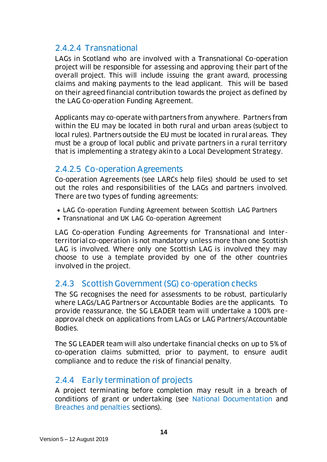#### <span id="page-13-0"></span>2.4.2.4 Transnational

LAGs in Scotland who are involved with a Transnational Co-operation project will be responsible for assessing and approving their part of the overall project. This will include issuing the grant award, processing claims and making payments to the lead applicant. This will be based on their agreed financial contribution towards the project as defined by the LAG Co-operation Funding Agreement.

Applicants may co-operate with partners from anywhere. Partners from within the EU may be located in both rural and urban areas (subject to local rules). Partners outside the EU must be located in rural areas. They must be a group of local public and private partners in a rural territory that is implementing a strategy akin to a Local Development Strategy.

#### <span id="page-13-1"></span>2.4.2.5 Co-operation Agreements

Co-operation Agreements (see LARCs help files) should be used to set out the roles and responsibilities of the LAGs and partners involved. There are two types of funding agreements:

- LAG Co-operation Funding Agreement between Scottish LAG Partners
- Transnational and UK LAG Co-operation Agreement

LAG Co-operation Funding Agreements for Transnational and Interterritorial co-operation is not mandatory unless more than one Scottish LAG is involved. Where only one Scottish LAG is involved they may choose to use a template provided by one of the other countries involved in the project.

### <span id="page-13-2"></span>2.4.3 Scottish Government(SG) co-operation checks

The SG recognises the need for assessments to be robust, particularly where LAGs/LAG Partners or Accountable Bodies are the applicants. To provide reassurance, the SG LEADER team will undertake a 100% preapproval check on applications from LAGs or LAG Partners/Accountable Bodies.

The SG LEADER team will also undertake financial checks on up to 5% of co-operation claims submitted, prior to payment, to ensure audit compliance and to reduce the risk of financial penalty.

### <span id="page-13-3"></span>2.4.4 Early termination of projects

A project terminating before completion may result in a breach of conditions of grant or undertaking (see [National Documentation](#page-5-0) and [Breaches and penalties](#page-33-3) sections).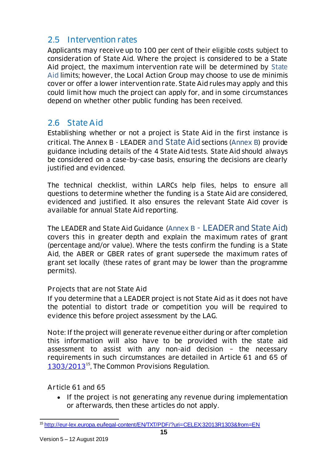## <span id="page-14-0"></span>2.5 Intervention rates

Applicants may receive up to 100 per cent of their eligible costs subject to consideration of State Aid. Where the project is considered to be a State Aid project, the maximum intervention rate will be determined by [State](#page-14-1)  [Aid](#page-14-1) limits; however, the Local Action Group may choose to use de minimis cover or offer a lower intervention rate. State Aid rules may apply and this could limit how much the project can apply for, and in some circumstances depend on whether other public funding has been received.

### <span id="page-14-1"></span>2.6 State Aid

Establishing whether or not a project is State Aid in the first instance is critical. The Annex B - LEADER [and State Aid](#page-40-0) sections [\(Annex B\)](#page-40-0) provide guidance including details of the 4 State Aid tests. State Aid should always be considered on a case-by-case basis, ensuring the decisions are clearly justified and evidenced.

The technical checklist, within LARCs help files, helps to ensure all questions to determine whether the funding is a State Aid are considered, evidenced and justified. It also ensures the relevant State Aid cover is available for annual State Aid reporting.

The LEADER and State Aid Guidance (Annex B - [LEADER and State Aid](#page-40-0)) covers this in greater depth and explain the maximum rates of grant (percentage and/or value). Where the tests confirm the funding is a State Aid, the ABER or GBER rates of grant supersede the maximum rates of grant set locally (these rates of grant may be lower than the programme permits).

#### Projects that are not State Aid

If you determine that a LEADER project is not State Aid as it does not have the potential to distort trade or competition you will be required to evidence this before project assessment by the LAG.

Note: If the project will generate revenue either during or after completion this information will also have to be provided with the state aid assessment to assist with any non-aid decision – the necessary requirements in such circumstances are detailed in Article 61 and 65 of [1303/2013](http://eur-lex.europa.eu/legal-content/EN/TXT/PDF/?uri=CELEX:32013R1303&from=EN)<sup>15</sup>, The Common Provisions Regulation.

Article 61 and 65

• If the project is not generating any revenue during implementation or afterwards, then these articles do not apply.

l <sup>15</sup> <http://eur-lex.europa.eu/legal-content/EN/TXT/PDF/?uri=CELEX:32013R1303&from=EN>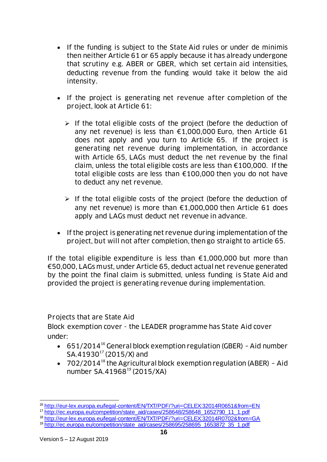- If the funding is subject to the State Aid rules or under de minimis then neither Article 61 or 65 apply because it has already undergone that scrutiny e.g. ABER or GBER, which set certain aid intensities, deducting revenue from the funding would take it below the aid intensity.
- If the project is generating net revenue after completion of the project, look at Article 61:
	- $\triangleright$  If the total eligible costs of the project (before the deduction of any net revenue) is less than €1,000,000 Euro, then Article 61 does not apply and you turn to Article 65. If the project is generating net revenue during implementation, in accordance with Article 65, LAGs must deduct the net revenue by the final claim, unless the total eligible costs are less than €100,000. If the total eligible costs are less than €100,000 then you do not have to deduct any net revenue.
	- $\triangleright$  If the total eligible costs of the project (before the deduction of any net revenue) is more than €1,000,000 then Article 61 does apply and LAGs must deduct net revenue in advance.
- If the project is generating net revenue during implementation of the project, but will not after completion, then go straight to article 65.

If the total eligible expenditure is less than  $£1,000,000$  but more than €50,000, LAGs must, under Article 65, deduct actual net revenue generated by the point the final claim is submitted, unless funding is State Aid and provided the project is generating revenue during implementation.

Projects that are State Aid

Block exemption cover - the LEADER programme has State Aid cover under:

- 651/2014<sup>16</sup> General block exemption regulation (GBER) Aid number  $SA.41930^{17} (2015/X)$  and
- $\bullet$  702/2014<sup>18</sup> the Agricultural block exemption regulation (ABER) Aid number SA.41968<sup>19</sup> (2015/XA)

l <sup>16</sup> <http://eur-lex.europa.eu/legal-content/EN/TXT/PDF/?uri=CELEX:32014R0651&from=EN>

<sup>17</sup> [http://ec.europa.eu/competition/state\\_aid/cases/258648/258648\\_1652790\\_11\\_1.pdf](http://ec.europa.eu/competition/state_aid/cases/258648/258648_1652790_11_1.pdf)

<sup>18</sup> <http://eur-lex.europa.eu/legal-content/EN/TXT/PDF/?uri=CELEX:32014R0702&from=GA>

<sup>&</sup>lt;sup>19</sup> http://ec.europa.eu/competition/state\_aid/cases/258695/258695\_1653872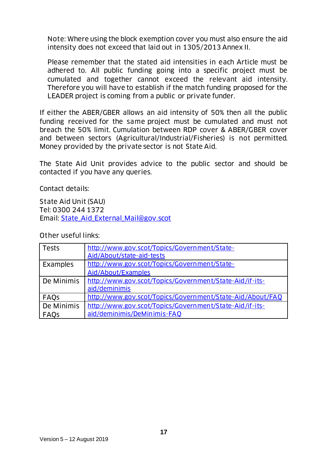Note: Where using the block exemption cover you must also ensure the aid intensity does not exceed that laid out in 1305/2013 Annex II.

Please remember that the stated aid intensities in each Article must be adhered to. All public funding going into a specific project must be cumulated and together cannot exceed the relevant aid intensity. Therefore you will have to establish if the match funding proposed for the LEADER project is coming from a public or private funder.

If either the ABER/GBER allows an aid intensity of 50% then all the public funding received for the same project must be cumulated and must not breach the 50% limit. Cumulation between RDP cover & ABER/GBER cover and between sectors (Agricultural/Industrial/Fisheries) is not permitted. Money provided by the private sector is not State Aid.

The State Aid Unit provides advice to the public sector and should be contacted if you have any queries.

Contact details:

State Aid Unit (SAU) Tel: 0300 244 1372 Email: [State\\_Aid\\_External\\_Mail@gov.scot](mailto:State_Aid_External_Mail@gov.scot)

Other useful links:

| <b>Tests</b> | http://www.gov.scot/Topics/Government/State-              |
|--------------|-----------------------------------------------------------|
|              | Aid/About/state-aid-tests                                 |
| Examples     | http://www.gov.scot/Topics/Government/State-              |
|              | Aid/About/Examples                                        |
| De Minimis   | http://www.gov.scot/Topics/Government/State-Aid/if-its-   |
|              | aid/deminimis                                             |
| <b>FAQS</b>  | http://www.gov.scot/Topics/Government/State-Aid/About/FAQ |
| De Minimis   | http://www.gov.scot/Topics/Government/State-Aid/if-its-   |
| FAQS         | aid/deminimis/DeMinimis-FAQ                               |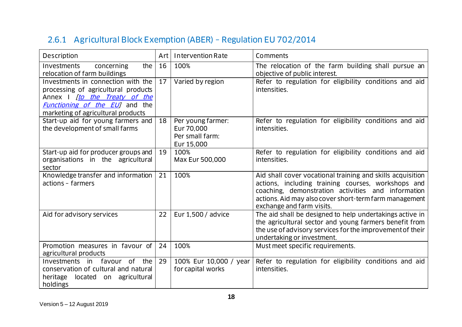# 2.6.1 Agricultural Block Exemption (ABER) – Regulation EU 702/2014

<span id="page-17-0"></span>

| Description                                                                                                                                                                                      |    | <b>Intervention Rate</b>                                         | Comments                                                                                                                                                                                                                                                      |
|--------------------------------------------------------------------------------------------------------------------------------------------------------------------------------------------------|----|------------------------------------------------------------------|---------------------------------------------------------------------------------------------------------------------------------------------------------------------------------------------------------------------------------------------------------------|
| the<br><b>Investments</b><br>concerning<br>relocation of farm buildings                                                                                                                          | 16 | 100%                                                             | The relocation of the farm building shall pursue an<br>objective of public interest.                                                                                                                                                                          |
| Investments in connection with the<br>processing of agricultural products<br>Annex I <i>[to the Treaty of the</i><br><i>Functioning of the EUI</i> and the<br>marketing of agricultural products |    | Varied by region                                                 | Refer to regulation for eligibility conditions and aid<br>intensities.                                                                                                                                                                                        |
| Start-up aid for young farmers and<br>the development of small farms                                                                                                                             | 18 | Per young farmer:<br>Eur 70,000<br>Per small farm:<br>Eur 15,000 | Refer to regulation for eligibility conditions and aid<br>intensities.                                                                                                                                                                                        |
| Start-up aid for producer groups and<br>organisations in the agricultural<br>sector                                                                                                              | 19 | 100%<br>Max Eur 500,000                                          | Refer to regulation for eligibility conditions and aid<br>intensities.                                                                                                                                                                                        |
| Knowledge transfer and information<br>actions - farmers                                                                                                                                          | 21 | 100%                                                             | Aid shall cover vocational training and skills acquisition<br>actions, including training courses, workshops and<br>coaching, demonstration activities and information<br>actions. Aid may also cover short-term farm management<br>exchange and farm visits. |
| Aid for advisory services                                                                                                                                                                        | 22 | Eur 1,500 / advice                                               | The aid shall be designed to help undertakings active in<br>the agricultural sector and young farmers benefit from<br>the use of advisory services for the improvement of their<br>undertaking or investment.                                                 |
| Promotion measures in favour of<br>agricultural products                                                                                                                                         | 24 | 100%                                                             | Must meet specific requirements.                                                                                                                                                                                                                              |
| favour of the<br>Investments<br>in<br>conservation of cultural and natural<br>heritage<br>located on agricultural<br>holdings                                                                    |    | 100% Eur 10,000 / year<br>for capital works                      | Refer to regulation for eligibility conditions and aid<br>intensities.                                                                                                                                                                                        |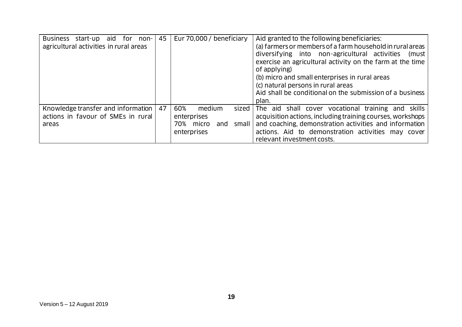| <b>Business</b><br>aid<br>start-up<br>for<br>non-<br>agricultural activities in rural areas | 45 | Eur 70,000 / beneficiary                                                                 | Aid granted to the following beneficiaries:<br>(a) farmers or members of a farm household in rural areas<br>diversifying into non-agricultural activities<br>(must l<br>exercise an agricultural activity on the farm at the time<br>of applying)<br>(b) micro and small enterprises in rural areas<br>(c) natural persons in rural areas<br>Aid shall be conditional on the submission of a business<br>plan. |
|---------------------------------------------------------------------------------------------|----|------------------------------------------------------------------------------------------|----------------------------------------------------------------------------------------------------------------------------------------------------------------------------------------------------------------------------------------------------------------------------------------------------------------------------------------------------------------------------------------------------------------|
| Knowledge transfer and information<br>actions in favour of SMEs in rural<br>areas           | 47 | 60%<br>medium<br>sized  <br>enterprises<br>small I<br>70%<br>micro<br>and<br>enterprises | The aid shall cover vocational training and skills<br>acquisition actions, including training courses, workshops<br>and coaching, demonstration activities and information<br>actions. Aid to demonstration activities may cover<br>relevant investment costs.                                                                                                                                                 |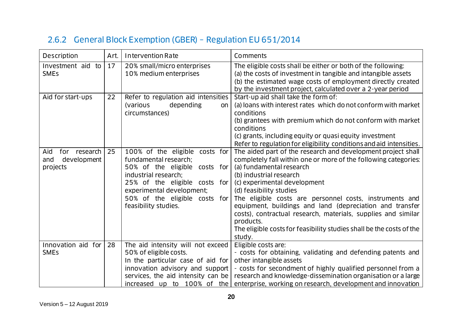# 2.6.2 General Block Exemption (GBER) – Regulation EU 651/2014

<span id="page-19-0"></span>

| Description<br>Art.                                   |    | <b>Intervention Rate</b>                                                                                                                                                                                                                | Comments                                                                                                                                                                                                                                                                                                                                                                                                                                                                                                                                 |
|-------------------------------------------------------|----|-----------------------------------------------------------------------------------------------------------------------------------------------------------------------------------------------------------------------------------------|------------------------------------------------------------------------------------------------------------------------------------------------------------------------------------------------------------------------------------------------------------------------------------------------------------------------------------------------------------------------------------------------------------------------------------------------------------------------------------------------------------------------------------------|
| Investment aid to<br>17<br><b>SMEs</b>                |    | 20% small/micro enterprises<br>10% medium enterprises                                                                                                                                                                                   | The eligible costs shall be either or both of the following:<br>(a) the costs of investment in tangible and intangible assets<br>(b) the estimated wage costs of employment directly created<br>by the investment project, calculated over a 2-year period                                                                                                                                                                                                                                                                               |
| Aid for start-ups                                     | 22 | Refer to regulation aid intensities<br>depending<br>(various<br>on<br>circumstances)                                                                                                                                                    | Start-up aid shall take the form of:<br>(a) loans with interest rates which do not conform with market<br>conditions<br>(b) grantees with premium which do not conform with market<br>conditions<br>(c) grants, including equity or quasi equity investment<br>Refer to regulation for eligibility conditions and aid intensities.                                                                                                                                                                                                       |
| for research<br>Aid<br>development<br>and<br>projects | 25 | 100% of the eligible costs for<br>fundamental research:<br>50% of the eligible costs for<br>industrial research:<br>25% of the eligible costs for<br>experimental development;<br>50% of the eligible costs for<br>feasibility studies. | The aided part of the research and development project shall<br>completely fall within one or more of the following categories:<br>(a) fundamental research<br>(b) industrial research<br>(c) experimental development<br>(d) feasibility studies<br>The eligible costs are personnel costs, instruments and<br>equipment, buildings and land (depreciation and transfer<br>costs), contractual research, materials, supplies and similar<br>products.<br>The eligible costs for feasibility studies shall be the costs of the<br>study. |
| Innovation aid for<br><b>SMEs</b>                     | 28 | The aid intensity will not exceed<br>50% of eligible costs.<br>In the particular case of aid for<br>innovation advisory and support<br>services, the aid intensity can be                                                               | Eligible costs are:<br>- costs for obtaining, validating and defending patents and<br>other intangible assets<br>- costs for secondment of highly qualified personnel from a<br>research and knowledge-dissemination organisation or a large<br>increased up to 100% of the enterprise, working on research, development and innovation                                                                                                                                                                                                  |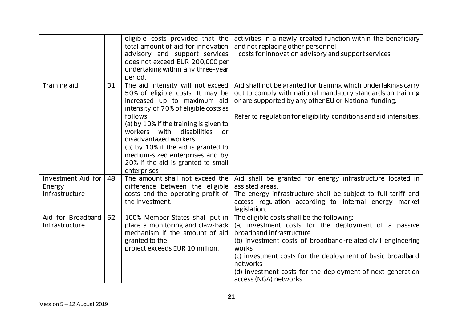|                                                |    | eligible costs provided that the<br>total amount of aid for innovation<br>advisory and support services<br>does not exceed EUR 200,000 per<br>undertaking within any three-year<br>period.                                                                                                                                                                                                        | activities in a newly created function within the beneficiary<br>and not replacing other personnel<br>- costs for innovation advisory and support services                                                                                                                                                                                                              |
|------------------------------------------------|----|---------------------------------------------------------------------------------------------------------------------------------------------------------------------------------------------------------------------------------------------------------------------------------------------------------------------------------------------------------------------------------------------------|-------------------------------------------------------------------------------------------------------------------------------------------------------------------------------------------------------------------------------------------------------------------------------------------------------------------------------------------------------------------------|
| Training aid                                   | 31 | The aid intensity will not exceed<br>50% of eligible costs. It may be<br>increased up to maximum aid<br>intensity of 70% of eligible costs as<br>follows:<br>(a) by 10% if the training is given to<br>workers with<br>disabilities<br>or<br>disadvantaged workers<br>(b) by 10% if the aid is granted to<br>medium-sized enterprises and by<br>20% if the aid is granted to small<br>enterprises | Aid shall not be granted for training which undertakings carry<br>out to comply with national mandatory standards on training<br>or are supported by any other EU or National funding.<br>Refer to regulation for eligibility conditions and aid intensities.                                                                                                           |
| Investment Aid for<br>Energy<br>Infrastructure | 48 | The amount shall not exceed the<br>difference between the eligible<br>costs and the operating profit of<br>the investment.                                                                                                                                                                                                                                                                        | Aid shall be granted for energy infrastructure located in<br>assisted areas.<br>The energy infrastructure shall be subject to full tariff and<br>access regulation according to internal energy market<br>legislation.                                                                                                                                                  |
| Aid for Broadband<br>Infrastructure            | 52 | 100% Member States shall put in<br>place a monitoring and claw-back<br>mechanism if the amount of aid<br>granted to the<br>project exceeds EUR 10 million.                                                                                                                                                                                                                                        | The eligible costs shall be the following:<br>(a) investment costs for the deployment of a passive<br>broadband infrastructure<br>(b) investment costs of broadband-related civil engineering<br>works<br>(c) investment costs for the deployment of basic broadband<br>networks<br>(d) investment costs for the deployment of next generation<br>access (NGA) networks |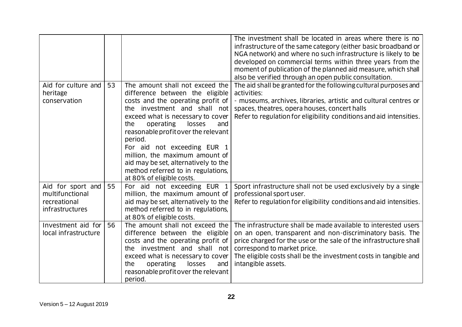|                                                                         |    |                                                                                                                                                                                                                                                                                                                                                                                                                                                 | The investment shall be located in areas where there is no<br>infrastructure of the same category (either basic broadband or<br>NGA network) and where no such infrastructure is likely to be<br>developed on commercial terms within three years from the<br>moment of publication of the planned aid measure, which shall<br>also be verified through an open public consultation. |
|-------------------------------------------------------------------------|----|-------------------------------------------------------------------------------------------------------------------------------------------------------------------------------------------------------------------------------------------------------------------------------------------------------------------------------------------------------------------------------------------------------------------------------------------------|--------------------------------------------------------------------------------------------------------------------------------------------------------------------------------------------------------------------------------------------------------------------------------------------------------------------------------------------------------------------------------------|
| Aid for culture and<br>heritage<br>conservation                         | 53 | The amount shall not exceed the<br>difference between the eligible<br>costs and the operating profit of<br>the investment and shall not<br>exceed what is necessary to cover<br>operating<br>losses<br>the<br>and<br>reasonable profit over the relevant<br>period.<br>For aid not exceeding EUR 1<br>million, the maximum amount of<br>aid may be set, alternatively to the<br>method referred to in regulations,<br>at 80% of eligible costs. | The aid shall be granted for the following cultural purposes and<br>activities:<br>- museums, archives, libraries, artistic and cultural centres or<br>spaces, theatres, opera houses, concert halls<br>Refer to regulation for eligibility conditions and aid intensities.                                                                                                          |
| Aid for sport and<br>multifunctional<br>recreational<br>infrastructures | 55 | For aid not exceeding EUR 1<br>million, the maximum amount of<br>aid may be set, alternatively to the<br>method referred to in regulations,<br>at 80% of eligible costs.                                                                                                                                                                                                                                                                        | Sport infrastructure shall not be used exclusively by a single<br>professional sport user.<br>Refer to regulation for eligibility conditions and aid intensities.                                                                                                                                                                                                                    |
| Investment aid for<br>local infrastructure                              | 56 | The amount shall not exceed the<br>difference between the eligible<br>costs and the operating profit of<br>the investment and shall not<br>exceed what is necessary to cover<br>operating<br>losses<br>the<br>and<br>reasonable profit over the relevant<br>period.                                                                                                                                                                             | The infrastructure shall be made available to interested users<br>on an open, transparent and non-discriminatory basis. The<br>price charged for the use or the sale of the infrastructure shall<br>correspond to market price.<br>The eligible costs shall be the investment costs in tangible and<br>intangible assets.                                                            |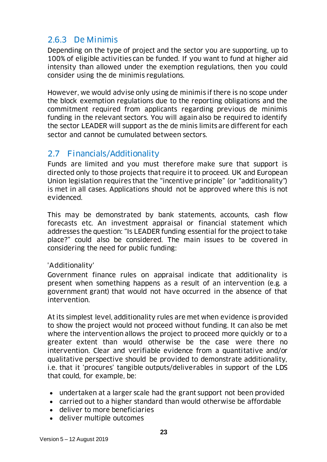## <span id="page-22-0"></span>2.6.3 De Minimis

Depending on the type of project and the sector you are supporting, up to 100% of eligible activities can be funded. If you want to fund at higher aid intensity than allowed under the exemption regulations, then you could consider using the de minimis regulations.

However, we would advise only using de minimis if there is no scope under the block exemption regulations due to the reporting obligations and the commitment required from applicants regarding previous de minimis funding in the relevant sectors. You will again also be required to identify the sector LEADER will support as the de minis limits are different for each sector and cannot be cumulated between sectors.

#### <span id="page-22-1"></span>2.7 Financials/Additionality

Funds are limited and you must therefore make sure that support is directed only to those projects that require it to proceed. UK and European Union legislation requires that the "incentive principle" (or "additionality") is met in all cases. Applications should not be approved where this is not evidenced.

This may be demonstrated by bank statements, accounts, cash flow forecasts etc. An investment appraisal or financial statement which addresses the question: "Is LEADER funding essential for the project to take place?" could also be considered. The main issues to be covered in considering the need for public funding:

#### 'Additionality'

Government finance rules on appraisal indicate that additionality is present when something happens as a result of an intervention (e.g. a government grant) that would not have occurred in the absence of that intervention.

At its simplest level, additionality rules are met when evidence is provided to show the project would not proceed without funding. It can also be met where the intervention allows the project to proceed more quickly or to a greater extent than would otherwise be the case were there no intervention. Clear and verifiable evidence from a quantitative and/or qualitative perspective should be provided to demonstrate additionality, i.e. that it 'procures' tangible outputs/deliverables in support of the LDS that could, for example, be:

- undertaken at a larger scale had the grant support not been provided
- carried out to a higher standard than would otherwise be affordable
- deliver to more beneficiaries
- deliver multiple outcomes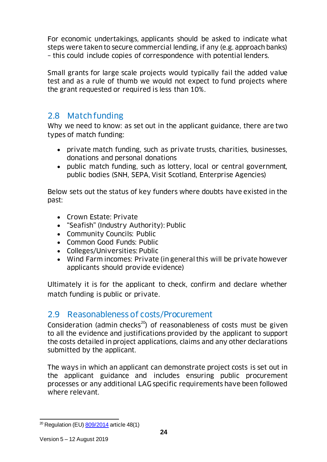For economic undertakings, applicants should be asked to indicate what steps were taken to secure commercial lending, if any (e.g. approach banks) – this could include copies of correspondence with potential lenders.

Small grants for large scale projects would typically fail the added value test and as a rule of thumb we would not expect to fund projects where the grant requested or required is less than 10%.

### <span id="page-23-0"></span>2.8 Match funding

Why we need to know: as set out in the applicant guidance, there are two types of match funding:

- private match funding, such as private trusts, charities, businesses, donations and personal donations
- public match funding, such as lottery, local or central government, public bodies (SNH, SEPA, Visit Scotland, Enterprise Agencies)

Below sets out the status of key funders where doubts have existed in the past:

- Crown Estate: Private
- "Seafish" (Industry Authority): Public
- Community Councils: Public
- Common Good Funds: Public
- Colleges/Universities: Public
- Wind Farm incomes: Private (in general this will be private however applicants should provide evidence)

Ultimately it is for the applicant to check, confirm and declare whether match funding is public or private.

### <span id="page-23-1"></span>2.9 Reasonableness of costs/Procurement

Consideration (admin checks<sup>20</sup>) of reasonableness of costs must be given to all the evidence and justifications provided by the applicant to support the costs detailed in project applications, claims and any other declarations submitted by the applicant.

The ways in which an applicant can demonstrate project costs is set out in the applicant guidance and includes ensuring public procurement processes or any additional LAG specific requirements have been followed where relevant.

l <sup>20</sup> Regulation (EU) <u>809/2014</u> article 48(1)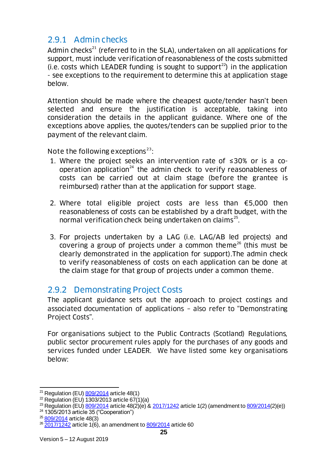## <span id="page-24-0"></span>2.9.1 Admin checks

Admin checks<sup>21</sup> (referred to in the SLA), undertaken on all applications for support, must include verification of reasonableness of the costs submitted (i.e. costs which LEADER funding is sought to support<sup>22</sup>) in the application - see exceptions to the requirement to determine this at application stage below.

Attention should be made where the cheapest quote/tender hasn't been selected and ensure the justification is acceptable, taking into consideration the details in the applicant guidance. Where one of the exceptions above applies, the quotes/tenders can be supplied prior to the payment of the relevant claim.

Note the following exceptions<sup>23</sup>:

- 1. Where the project seeks an intervention rate of ≤30% or is a cooperation application<sup>24</sup> the admin check to verify reasonableness of costs can be carried out at claim stage (before the grantee is reimbursed) rather than at the application for support stage.
- 2. Where total eligible project costs are less than  $€5,000$  then reasonableness of costs can be established by a draft budget, with the normal verification check being undertaken on claims<sup>25</sup>.
- 3. For projects undertaken by a LAG (i.e. LAG/AB led projects) and covering a group of projects under a common theme<sup>26</sup> (this must be clearly demonstrated in the application for support).The admin check to verify reasonableness of costs on each application can be done at the claim stage for that group of projects under a common theme.

### <span id="page-24-1"></span>2.9.2 Demonstrating Project Costs

The applicant guidance sets out the approach to project costings and associated documentation of applications – also refer to "Demonstrating Project Costs".

For organisations subject to the Public Contracts (Scotland) Regulations, public sector procurement rules apply for the purchases of any goods and services funded under LEADER. We have listed some key organisations below:

l

<sup>&</sup>lt;sup>21</sup> Regulation (EU) **809/2014** article 48(1)

 $22$  Regulation (EU) 1303/2013 article 67(1)(a)

<sup>&</sup>lt;sup>23</sup> Regulation (EU)  $\frac{809}{2014}$  article 48(2)(e) &  $\frac{2017}{1242}$  article 1(2) (amendment to  $\frac{809}{2014}$ (2)(e))

 $24$  1305/2013 article 35 ("Cooperation")

<sup>&</sup>lt;sup>25</sup> [809/2014](http://eur-lex.europa.eu/legal-content/EN/TXT/PDF/?uri=CELEX:32014R0809&from=en) article 48(3)

 $26\overline{2017/124}$ 2 article 1(6), an amendment to  $809/2014$  article 60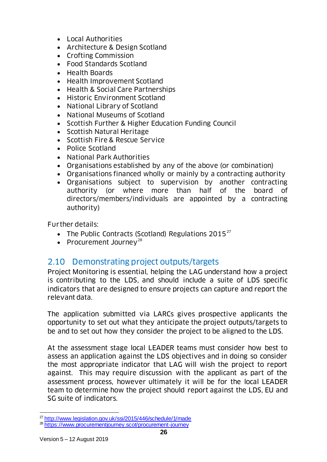- Local Authorities
- Architecture & Design Scotland
- Crofting Commission
- Food Standards Scotland
- Health Boards
- Health Improvement Scotland
- Health & Social Care Partnerships
- Historic Environment Scotland
- National Library of Scotland
- National Museums of Scotland
- Scottish Further & Higher Education Funding Council
- Scottish Natural Heritage
- Scottish Fire & Rescue Service
- Police Scotland
- National Park Authorities
- Organisations established by any of the above (or combination)
- Organisations financed wholly or mainly by a contracting authority
- Organisations subject to supervision by another contracting authority (or where more than half of the board of directors/members/individuals are appointed by a contracting authority)

Further details:

- The Public Contracts (Scotland) Regulations  $2015^{27}$
- Procurement Journey<sup>28</sup>

### <span id="page-25-0"></span>2.10 Demonstrating project outputs/targets

Project Monitoring is essential, helping the LAG understand how a project is contributing to the LDS, and should include a suite of LDS specific indicators that are designed to ensure projects can capture and report the relevant data.

The application submitted via LARCs gives prospective applicants the opportunity to set out what they anticipate the project outputs/targets to be and to set out how they consider the project to be aligned to the LDS.

At the assessment stage local LEADER teams must consider how best to assess an application against the LDS objectives and in doing so consider the most appropriate indicator that LAG will wish the project to report against. This may require discussion with the applicant as part of the assessment process, however ultimately it will be for the local LEADER team to determine how the project should report against the LDS, EU and SG suite of indicators.

l

<sup>27</sup> <http://www.legislation.gov.uk/ssi/2015/446/schedule/1/made>

<sup>28</sup> <https://www.procurementjourney.scot/procurement-journey>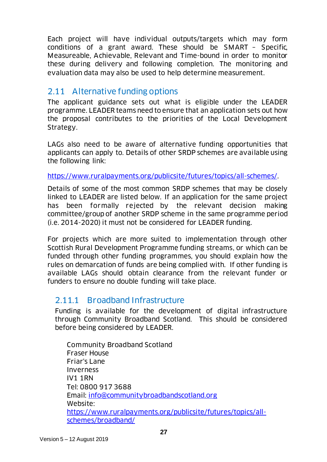Each project will have individual outputs/targets which may form conditions of a grant award. These should be SMART – Specific, Measureable, Achievable, Relevant and Time-bound in order to monitor these during delivery and following completion. The monitoring and evaluation data may also be used to help determine measurement.

### <span id="page-26-0"></span>2.11 Alternative funding options

The applicant guidance sets out what is eligible under the LEADER programme. LEADER teams need to ensure that an application sets out how the proposal contributes to the priorities of the Local Development Strategy.

LAGs also need to be aware of alternative funding opportunities that applicants can apply to. Details of other SRDP schemes are available using the following link:

[https://www.ruralpayments.org/publicsite/futures/topics/all-schemes/.](https://www.ruralpayments.org/publicsite/futures/topics/all-schemes/)

Details of some of the most common SRDP schemes that may be closely linked to LEADER are listed below. If an application for the same project has been formally rejected by the relevant decision making committee/group of another SRDP scheme in the same programme period (i.e. 2014-2020) it must not be considered for LEADER funding.

For projects which are more suited to implementation through other Scottish Rural Development Programme funding streams, or which can be funded through other funding programmes, you should explain how the rules on demarcation of funds are being complied with. If other funding is available LAGs should obtain clearance from the relevant funder or funders to ensure no double funding will take place.

### <span id="page-26-1"></span>2.11.1 Broadband Infrastructure

Funding is available for the development of digital infrastructure through Community Broadband Scotland. This should be considered before being considered by LEADER.

Community Broadband Scotland Fraser House Friar's Lane Inverness IV1 1RN Tel: 0800 917 3688 Email: [info@communitybroadbandscotland.org](mailto:info@communitybroadbandscotland.org) Website: [https://www.ruralpayments.org/publicsite/futures/topics/all](https://www.ruralpayments.org/publicsite/futures/topics/all-schemes/broadband/)[schemes/broadband/](https://www.ruralpayments.org/publicsite/futures/topics/all-schemes/broadband/)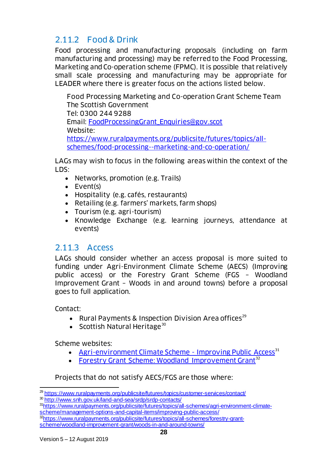## <span id="page-27-0"></span>2.11.2 Food & Drink

Food processing and manufacturing proposals (including on farm manufacturing and processing) may be referred to the Food Processing, Marketing and Co-operation scheme (FPMC). It is possible that relatively small scale processing and manufacturing may be appropriate for LEADER where there is greater focus on the actions listed below.

Food Processing Marketing and Co-operation Grant Scheme Team The Scottish Government Tel: 0300 244 9288 Email: [FoodProcessingGrant\\_Enquiries@gov.scot](mailto:FoodProcessingGrant_Enquiries@gov.scot) Website: [https://www.ruralpayments.org/publicsite/futures/topics/all](https://www.ruralpayments.org/publicsite/futures/topics/all-schemes/food-processing--marketing-and-co-operation/)[schemes/food-processing--marketing-and-co-operation/](https://www.ruralpayments.org/publicsite/futures/topics/all-schemes/food-processing--marketing-and-co-operation/)

LAGs may wish to focus in the following areas within the context of the LDS:

- Networks, promotion (e.g. Trails)
- Event(s)
- Hospitality (e.g. cafés, restaurants)
- Retailing (e.g. farmers' markets, farm shops)
- Tourism (e.g. agri-tourism)
- Knowledge Exchange (e.g. learning journeys, attendance at events)

### <span id="page-27-1"></span>2.11.3 Access

LAGs should consider whether an access proposal is more suited to funding under Agri-Environment Climate Scheme (AECS) (Improving public access) or the Forestry Grant Scheme (FGS – Woodland Improvement Grant – Woods in and around towns) before a proposal goes to full application.

Contact:

- Rural Payments & Inspection Division Area offices<sup>29</sup>
- Scottish Natural Heritage $30$

Scheme websites:

- [Agri-environment Climate Scheme -](https://www.ruralpayments.org/publicsite/futures/topics/all-schemes/agri-environment-climate-scheme/management-options-and-capital-items/improving-public-access/) Improving Public Access<sup>31</sup>
- [Forestry Grant Scheme: Woodland Improvement Grant](https://www.ruralpayments.org/publicsite/futures/topics/all-schemes/forestry-grant-scheme/woodland-improvement-grant/woods-in-and-around-towns/)<sup>32</sup>

Projects that do not satisfy AECS/FGS are those where:

l <sup>29</sup> <https://www.ruralpayments.org/publicsite/futures/topics/customer-services/contact/>

<sup>30</sup> <http://www.snh.gov.uk/land-and-sea/srdp/srdp-contacts/>

<sup>31</sup>[https://www.ruralpayments.org/publicsite/futures/topics/all-schemes/agri-environment-climate](https://www.ruralpayments.org/publicsite/futures/topics/all-schemes/agri-environment-climate-scheme/management-options-and-capital-items/improving-public-access/)[scheme/management-options-and-capital-items/improving-public-access/](https://www.ruralpayments.org/publicsite/futures/topics/all-schemes/agri-environment-climate-scheme/management-options-and-capital-items/improving-public-access/)

<sup>32</sup>[https://www.ruralpayments.org/publicsite/futures/topics/all-schemes/forestry-grant](https://www.ruralpayments.org/publicsite/futures/topics/all-schemes/forestry-grant-scheme/woodland-improvement-grant/woods-in-and-around-towns/)[scheme/woodland-improvement-grant/woods-in-and-around-towns/](https://www.ruralpayments.org/publicsite/futures/topics/all-schemes/forestry-grant-scheme/woodland-improvement-grant/woods-in-and-around-towns/)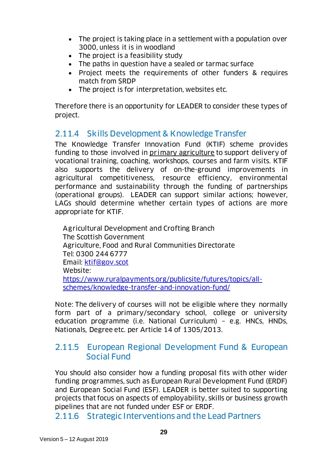- The project is taking place in a settlement with a population over 3000, unless it is in woodland
- The project is a feasibility study
- The paths in question have a sealed or tarmac surface
- Project meets the requirements of other funders & requires match from SRDP
- The project is for interpretation, websites etc.

Therefore there is an opportunity for LEADER to consider these types of project.

#### <span id="page-28-0"></span>2.11.4 Skills Development & Knowledge Transfer

The Knowledge Transfer Innovation Fund (KTIF) scheme provides funding to those involved in primary agriculture to support delivery of vocational training, coaching, workshops, courses and farm visits. KTIF also supports the delivery of on-the-ground improvements in agricultural competitiveness, resource efficiency, environmental performance and sustainability through the funding of partnerships (operational groups). LEADER can support similar actions; however, LAGs should determine whether certain types of actions are more appropriate for KTIF.

Agricultural Development and Crofting Branch The Scottish Government Agriculture, Food and Rural Communities Directorate Tel: 0300 244 6777 Email: [ktif@gov.scot](mailto:ktif@gov.scot) Website: [https://www.ruralpayments.org/publicsite/futures/topics/all](https://www.ruralpayments.org/publicsite/futures/topics/all-schemes/knowledge-transfer-and-innovation-fund/)[schemes/knowledge-transfer-and-innovation-fund/](https://www.ruralpayments.org/publicsite/futures/topics/all-schemes/knowledge-transfer-and-innovation-fund/)

Note: The delivery of courses will not be eligible where they normally form part of a primary/secondary school, college or university education programme (i.e. National Curriculum) – e.g. HNCs, HNDs, Nationals, Degree etc. per Article 14 of 1305/2013.

#### <span id="page-28-1"></span>2.11.5 European Regional Development Fund & European Social Fund

You should also consider how a funding proposal fits with other wider funding programmes, such as European Rural Development Fund (ERDF) and European Social Fund (ESF). LEADER is better suited to supporting projects that focus on aspects of employability, skills or business growth pipelines that are not funded under ESF or ERDF.

<span id="page-28-2"></span>2.11.6 Strategic Interventions and the Lead Partners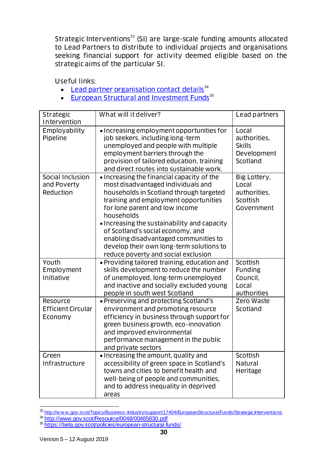Strategic Interventions<sup>33</sup> (SI) are large-scale funding amounts allocated to Lead Partners to distribute to individual projects and organisations seeking financial support for activity deemed eligible based on the strategic aims of the particular SI.

Useful links:

- [Lead partner organisation contact details](http://www.gov.scot/Resource/0048/00485830.pdf)<sup>34</sup>
- [European Structural and Investment Funds](https://beta.gov.scot/policies/european-structural-funds/)<sup>35</sup>

| Strategic<br>Intervention                        | What will it deliver?                                                                                                                                                                                                                                                                                                                                                                                                                 | Lead partners                                                     |
|--------------------------------------------------|---------------------------------------------------------------------------------------------------------------------------------------------------------------------------------------------------------------------------------------------------------------------------------------------------------------------------------------------------------------------------------------------------------------------------------------|-------------------------------------------------------------------|
| Employability<br>Pipeline                        | • Increasing employment opportunities for<br>job seekers, including long-term<br>unemployed and people with multiple<br>employment barriers through the<br>provision of tailored education, training<br>and direct routes into sustainable work.                                                                                                                                                                                      | Local<br>authorities,<br><b>Skills</b><br>Development<br>Scotland |
| Social Inclusion<br>and Poverty<br>Reduction     | • Increasing the financial capacity of the<br>most disadvantaged individuals and<br>households in Scotland through targeted<br>training and employment opportunities<br>for lone parent and low income<br>households<br>• Increasing the sustainability and capacity<br>of Scotland's social economy, and<br>enabling disadvantaged communities to<br>develop their own long-term solutions to<br>reduce poverty and social exclusion | Big Lottery,<br>Local<br>authorities,<br>Scottish<br>Government   |
| Youth<br>Employment<br>Initiative                | • Providing tailored training, education and<br>skills development to reduce the number<br>of unemployed, long-term unemployed<br>and inactive and socially excluded young<br>people in south west Scotland                                                                                                                                                                                                                           | Scottish<br><b>Funding</b><br>Council,<br>Local<br>authorities    |
| Resource<br><b>Efficient Circular</b><br>Economy | • Preserving and protecting Scotland's<br>environment and promoting resource<br>efficiency in business through support for<br>green business growth, eco-innovation<br>and improved environmental<br>performance management in the public<br>and private sectors                                                                                                                                                                      | Zero Waste<br>Scotland                                            |
| Green<br>Infrastructure                          | · Increasing the amount, quality and<br>accessibility of green space in Scotland's<br>towns and cities to benefit health and<br>well-being of people and communities.<br>and to address inequality in deprived<br>areas                                                                                                                                                                                                               | Scottish<br>Natural<br>Heritage                                   |

<sup>&</sup>lt;sup>33</sup> http://w w w .gov.scot/Topics/Business-Industry/support/17404/EuropeanStructuralFunds/Strategic Interventions

l

<sup>34</sup> <http://www.gov.scot/Resource/0048/00485830.pdf>

<sup>35</sup> <https://beta.gov.scot/policies/european-structural-funds/>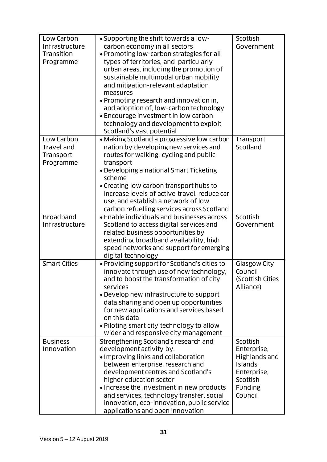| Low Carbon<br>Infrastructure<br>Transition<br>Programme | • Supporting the shift towards a low-<br>carbon economy in all sectors<br>• Promoting low-carbon strategies for all<br>types of territories, and particularly<br>urban areas, including the promotion of<br>sustainable multimodal urban mobility<br>and mitigation-relevant adaptation<br>measures<br>• Promoting research and innovation in,<br>and adoption of, low-carbon technology<br>• Encourage investment in low carbon<br>technology and development to exploit<br>Scotland's vast potential | Scottish<br>Government                                                                                      |
|---------------------------------------------------------|--------------------------------------------------------------------------------------------------------------------------------------------------------------------------------------------------------------------------------------------------------------------------------------------------------------------------------------------------------------------------------------------------------------------------------------------------------------------------------------------------------|-------------------------------------------------------------------------------------------------------------|
| Low Carbon<br>Travel and<br>Transport<br>Programme      | • Making Scotland a progressive low carbon<br>nation by developing new services and<br>routes for walking, cycling and public<br>transport<br>• Developing a national Smart Ticketing<br>scheme<br>• Creating low carbon transport hubs to<br>increase levels of active travel, reduce car<br>use, and establish a network of low<br>carbon refuelling services across Scotland                                                                                                                        | Transport<br>Scotland                                                                                       |
| <b>Broadband</b><br>Infrastructure                      | • Enable individuals and businesses across<br>Scotland to access digital services and<br>related business opportunities by<br>extending broadband availability, high<br>speed networks and support for emerging<br>digital technology                                                                                                                                                                                                                                                                  | Scottish<br>Government                                                                                      |
| <b>Smart Cities</b>                                     | • Providing support for Scotland's cities to<br>innovate through use of new technology,<br>and to boost the transformation of city<br>services<br>• Develop new infrastructure to support<br>data sharing and open up opportunities<br>for new applications and services based<br>on this data<br>. Piloting smart city technology to allow<br>wider and responsive city management                                                                                                                    | <b>Glasgow City</b><br>Council<br>(Scottish Cities<br>Alliance)                                             |
| <b>Business</b><br>Innovation                           | Strengthening Scotland's research and<br>development activity by:<br>• Improving links and collaboration<br>between enterprise, research and<br>development centres and Scotland's<br>higher education sector<br>• Increase the investment in new products<br>and services, technology transfer, social<br>innovation, eco-innovation, public service<br>applications and open innovation                                                                                                              | Scottish<br>Enterprise,<br>Highlands and<br>Islands<br>Enterprise,<br>Scottish<br><b>Funding</b><br>Council |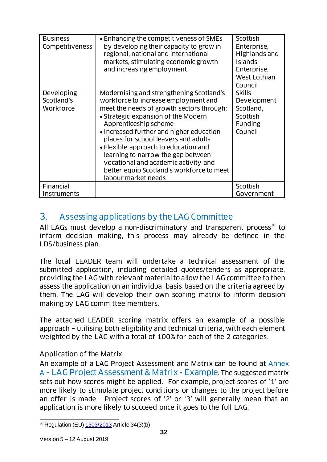| <b>Business</b><br>Competitiveness    | • Enhancing the competitiveness of SMEs<br>by developing their capacity to grow in<br>regional, national and international<br>markets, stimulating economic growth<br>and increasing employment                                                                                                                                                                                                                                                                             | Scottish<br>Enterprise,<br>Highlands and<br><b>Islands</b><br>Enterprise,<br>West Lothian<br>Council |
|---------------------------------------|-----------------------------------------------------------------------------------------------------------------------------------------------------------------------------------------------------------------------------------------------------------------------------------------------------------------------------------------------------------------------------------------------------------------------------------------------------------------------------|------------------------------------------------------------------------------------------------------|
| Developing<br>Scotland's<br>Workforce | Modernising and strengthening Scotland's<br>workforce to increase employment and<br>meet the needs of growth sectors through:<br>• Strategic expansion of the Modern<br>Apprenticeship scheme<br>• Increased further and higher education<br>places for school leavers and adults<br>• Flexible approach to education and<br>learning to narrow the gap between<br>vocational and academic activity and<br>better equip Scotland's workforce to meet<br>labour market needs | <b>Skills</b><br>Development<br>Scotland,<br>Scottish<br><b>Funding</b><br>Council                   |
| Financial<br>Instruments              |                                                                                                                                                                                                                                                                                                                                                                                                                                                                             | Scottish<br>Government                                                                               |

## <span id="page-31-0"></span>3. Assessing applications by the LAG Committee

All LAGs must develop a non-discriminatory and transparent process<sup>36</sup> to inform decision making, this process may already be defined in the LDS/business plan.

The local LEADER team will undertake a technical assessment of the submitted application, including detailed quotes/tenders as appropriate, providing the LAG with relevant material to allow the LAG committee to then assess the application on an individual basis based on the criteria agreed by them. The LAG will develop their own scoring matrix to inform decision making by LAG committee members.

The attached LEADER scoring matrix offers an example of a possible approach – utilising both eligibility and technical criteria, with each element weighted by the LAG with a total of 100% for each of the 2 categories.

#### Application of the Matrix:

An example of a LAG Project Assessment and Matrix can be found at [Annex](#page-36-0)  A - [LAG Project Assessment & Matrix -](#page-36-0) Example. The suggested matrix sets out how scores might be applied. For example, project scores of '1' are more likely to stimulate project conditions or changes to the project before an offer is made. Project scores of '2' or '3' will generally mean that an application is more likely to succeed once it goes to the full LAG.

l <sup>36</sup> Regulation (EU) <u>1303/2013</u> Article 34(3)(b)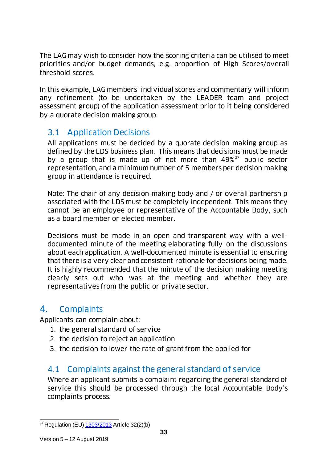The LAG may wish to consider how the scoring criteria can be utilised to meet priorities and/or budget demands, e.g. proportion of High Scores/overall threshold scores.

In this example, LAG members' individual scores and commentary will inform any refinement (to be undertaken by the LEADER team and project assessment group) of the application assessment prior to it being considered by a quorate decision making group.

### <span id="page-32-0"></span>3.1 Application Decisions

All applications must be decided by a quorate decision making group as defined by the LDS business plan. This means that decisions must be made by a group that is made up of not more than  $49\%^{37}$  public sector representation, and a minimum number of 5 members per decision making group in attendance is required.

Note: The chair of any decision making body and / or overall partnership associated with the LDS must be completely independent. This means they cannot be an employee or representative of the Accountable Body, such as a board member or elected member.

Decisions must be made in an open and transparent way with a welldocumented minute of the meeting elaborating fully on the discussions about each application. A well-documented minute is essential to ensuring that there is a very clear and consistent rationale for decisions being made. It is highly recommended that the minute of the decision making meeting clearly sets out who was at the meeting and whether they are representatives from the public or private sector.

### <span id="page-32-1"></span>4. Complaints

Applicants can complain about:

- 1. the general standard of service
- 2. the decision to reject an application
- 3. the decision to lower the rate of grant from the applied for

### <span id="page-32-2"></span>4.1 Complaints against the general standard of service

Where an applicant submits a complaint regarding the general standard of service this should be processed through the local Accountable Body's complaints process.

l <sup>37</sup> Regulation (EU) [1303/2013](http://eur-lex.europa.eu/legal-content/EN/TXT/PDF/?uri=CELEX:32013R1303&from=EN) Article 32(2)(b)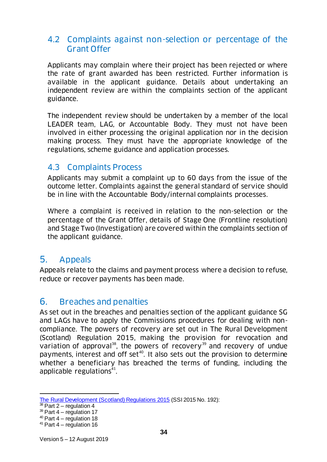#### <span id="page-33-0"></span>4.2 Complaints against non-selection or percentage of the Grant Offer

Applicants may complain where their project has been rejected or where the rate of grant awarded has been restricted. Further information is available in the applicant guidance. Details about undertaking an independent review are within the complaints section of the applicant guidance.

The independent review should be undertaken by a member of the local LEADER team, LAG, or Accountable Body. They must not have been involved in either processing the original application nor in the decision making process. They must have the appropriate knowledge of the regulations, scheme guidance and application processes.

### <span id="page-33-1"></span>4.3 Complaints Process

Applicants may submit a complaint up to 60 days from the issue of the outcome letter. Complaints against the general standard of service should be in line with the Accountable Body/internal complaints processes.

Where a complaint is received in relation to the non-selection or the percentage of the Grant Offer, details of Stage One (Frontline resolution) and Stage Two (Investigation) are covered within the complaints section of the applicant guidance.

### <span id="page-33-2"></span>5. Appeals

Appeals relate to the claims and payment process where a decision to refuse, reduce or recover payments has been made.

## <span id="page-33-3"></span>6. Breaches and penalties

As set out in the breaches and penalties section of the applicant guidance SG and LAGs have to apply the Commissions procedures for dealing with noncompliance. The powers of recovery are set out in The Rural Development (Scotland) Regulation 2015, making the provision for revocation and variation of approval<sup>38</sup>, the powers of recovery<sup>39</sup> and recovery of undue payments, interest and off set<sup>40</sup>. It also sets out the provision to determine whether a beneficiary has breached the terms of funding, including the applicable regulations $41$ .

l [The Rural Development \(Scotland\) Regulations 2015](http://www.legislation.gov.uk/ssi/2015/192/pdfs/ssi_20150192_en.pdf?text=Scottish%20Rural%20Development%20-%20match-1) (SSI 2015 No. 192):

<sup>&</sup>lt;sup>38</sup> Part 2 – regulation 4

 $39$  Part 4 – regulation 17

 $40$  Part 4 – regulation 18

 $41$  Part 4 – regulation 16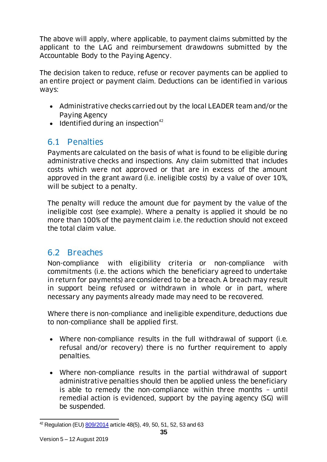The above will apply, where applicable, to payment claims submitted by the applicant to the LAG and reimbursement drawdowns submitted by the Accountable Body to the Paying Agency.

The decision taken to reduce, refuse or recover payments can be applied to an entire project or payment claim. Deductions can be identified in various ways:

- Administrative checks carried out by the local LEADER team and/or the Paying Agency
- $\bullet$  Identified during an inspection<sup>42</sup>

## <span id="page-34-0"></span>6.1 Penalties

Payments are calculated on the basis of what is found to be eligible during administrative checks and inspections. Any claim submitted that includes costs which were not approved or that are in excess of the amount approved in the grant award (i.e. ineligible costs) by a value of over 10%, will be subject to a penalty.

The penalty will reduce the amount due for payment by the value of the ineligible cost (see example). Where a penalty is applied it should be no more than 100% of the payment claim i.e. the reduction should not exceed the total claim value.

### <span id="page-34-1"></span>6.2 Breaches

Non-compliance with eligibility criteria or non-compliance with commitments (i.e. the actions which the beneficiary agreed to undertake in return for payments) are considered to be a breach. A breach may result in support being refused or withdrawn in whole or in part, where necessary any payments already made may need to be recovered.

Where there is non-compliance and ineligible expenditure, deductions due to non-compliance shall be applied first.

- Where non-compliance results in the full withdrawal of support (i.e. refusal and/or recovery) there is no further requirement to apply penalties.
- Where non-compliance results in the partial withdrawal of support administrative penalties should then be applied unless the beneficiary is able to remedy the non-compliance within three months – until remedial action is evidenced, support by the paying agency (SG) will be suspended.

l <sup>42</sup> Regulation (EU) <u>809/2014</u> article 48(5), 49, 50, 51, 52, 53 and 63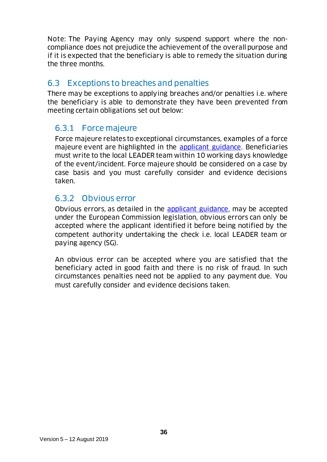Note: The Paying Agency may only suspend support where the noncompliance does not prejudice the achievement of the overall purpose and if it is expected that the beneficiary is able to remedy the situation during the three months.

### <span id="page-35-0"></span>6.3 Exceptions to breaches and penalties

There may be exceptions to applying breaches and/or penalties i.e. where the beneficiary is able to demonstrate they have been prevented from meeting certain obligations set out below:

### <span id="page-35-1"></span>6.3.1 Force majeure

Force majeure relates to exceptional circumstances, examples of a force majeure event are highlighted in the [applicant guidance.](https://www.ruralnetwork.scot/leader/guidance) Beneficiaries must write to the local LEADER team within 10 working days knowledge of the event/incident. Force majeure should be considered on a case by case basis and you must carefully consider and evidence decisions taken.

### <span id="page-35-2"></span>6.3.2 Obvious error

Obvious errors, as detailed in the [applicant guidance,](https://www.ruralnetwork.scot/leader/guidance) may be accepted under the European Commission legislation, obvious errors can only be accepted where the applicant identified it before being notified by the competent authority undertaking the check i.e. local LEADER team or paying agency (SG).

An obvious error can be accepted where you are satisfied that the beneficiary acted in good faith and there is no risk of fraud. In such circumstances penalties need not be applied to any payment due. You must carefully consider and evidence decisions taken.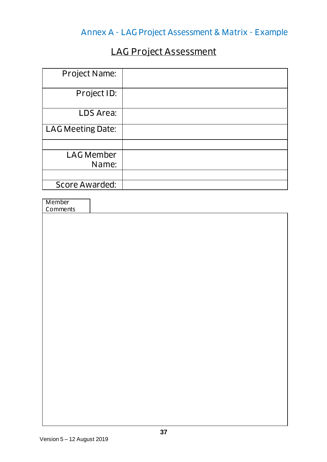# Annex A - LAG Project Assessment & Matrix - Example

# LAG Project Assessment

<span id="page-36-0"></span>

| Project Name:            |  |
|--------------------------|--|
| Project ID:              |  |
| LDS Area:                |  |
| <b>LAG Meeting Date:</b> |  |
|                          |  |
| <b>LAG Member</b>        |  |
| Name:                    |  |
|                          |  |
| Score Awarded:           |  |

| Member   |  |
|----------|--|
| Comments |  |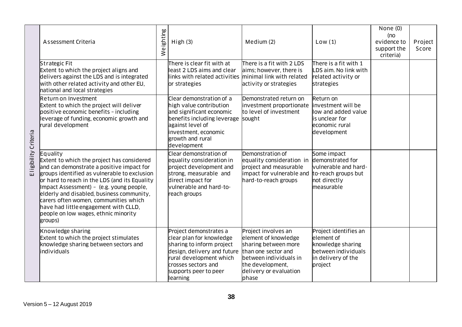|                      | Assessment Criteria                                                                                                                                                                                                                                                                                                                                                                                                                | ghting<br>$\overline{\overline{\mathbb{Q}}}$ | High(3)                                                                                                                                                                                                                 | Medium (2)                                                                                                                                                                  | Low(1)                                                                                                                                        | None $(0)$<br>(no<br>evidence to<br>support the | Project<br>Score |
|----------------------|------------------------------------------------------------------------------------------------------------------------------------------------------------------------------------------------------------------------------------------------------------------------------------------------------------------------------------------------------------------------------------------------------------------------------------|----------------------------------------------|-------------------------------------------------------------------------------------------------------------------------------------------------------------------------------------------------------------------------|-----------------------------------------------------------------------------------------------------------------------------------------------------------------------------|-----------------------------------------------------------------------------------------------------------------------------------------------|-------------------------------------------------|------------------|
|                      | Strategic Fit<br>Extent to which the project aligns and<br>delivers against the LDS and is integrated<br>with other related activity and other EU,<br>national and local strategies<br>Return on Investment<br>Extent to which the project will deliver<br>positive economic benefits - including                                                                                                                                  | $\overline{\ge}$                             | There is clear fit with at<br>least 2 LDS aims and clear<br>links with related activities minimal link with related<br>or strategies<br>Clear demonstration of a<br>high value contribution<br>and significant economic | There is a fit with 2 LDS<br>aims; however, there is<br>activity or strategies<br>Demonstrated return on<br>investment proportionate<br>to level of investment              | There is a fit with 1<br>LDS aim. No link with<br>related activity or<br>strategies<br>Return on<br>investment will be<br>low and added value | criteria)                                       |                  |
|                      | leverage of funding, economic growth and<br>rural development                                                                                                                                                                                                                                                                                                                                                                      |                                              | benefits including leverage<br>against level of<br>investment, economic<br>growth and rural<br>development                                                                                                              | sought                                                                                                                                                                      | is unclear for<br>economic rural<br>development                                                                                               |                                                 |                  |
| Eligibility Criteria | Equality<br>Extent to which the project has considered<br>and can demonstrate a positive impact for<br>groups identified as vulnerable to exclusion<br>or hard to reach in the LDS (and its Equality<br>Impact Assessment) - (e.g. young people,<br>elderly and disabled, business community,<br>carers often women, communities which<br>have had little engagement with CLLD,<br>people on low wages, ethnic minority<br>groups) |                                              | Clear demonstration of<br>equality consideration in<br>project development and<br>strong, measurable and<br>direct impact for<br>vulnerable and hard-to-<br>reach groups                                                | Demonstration of<br>equality consideration in demonstrated for<br>project and measurable<br>impact for vulnerable and<br>hard-to-reach groups                               | Some impact<br>vulnerable and hard-<br>to-reach groups but<br>not directly<br>measurable                                                      |                                                 |                  |
|                      | Knowledge sharing<br>Extent to which the project stimulates<br>knowledge sharing between sectors and<br>individuals                                                                                                                                                                                                                                                                                                                |                                              | Project demonstrates a<br>clear plan for knowledge<br>sharing to inform project<br>design, delivery and future<br>rural development which<br>crosses sectors and<br>supports peer to peer<br>learning                   | Project involves an<br>element of knowledge<br>sharing between more<br>than one sector and<br>between individuals in<br>the development,<br>delivery or evaluation<br>phase | Project identifies an<br>element of<br>knowledge sharing<br>between individuals<br>in delivery of the<br>project                              |                                                 |                  |
|                      | 38<br>Version $5 - 12$ August 2019                                                                                                                                                                                                                                                                                                                                                                                                 |                                              |                                                                                                                                                                                                                         |                                                                                                                                                                             |                                                                                                                                               |                                                 |                  |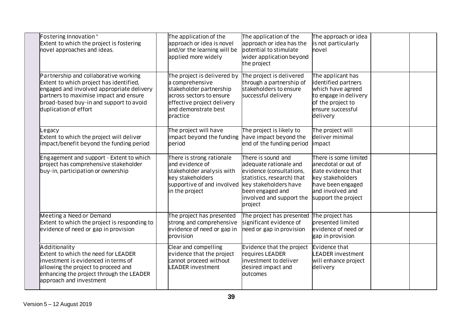| Fostering Innovation*<br>Extent to which the project is fostering<br>hovel approaches and ideas.                                                                                                                                            | The application of the<br>approach or idea is novel<br>and/or the learning will be<br>applied more widely                                                               | The application of the<br>approach or idea has the<br>potential to stimulate<br>wider application beyond<br>the project                                                                    | The approach or idea<br>is not particularly<br>novel                                                                                                   |  |
|---------------------------------------------------------------------------------------------------------------------------------------------------------------------------------------------------------------------------------------------|-------------------------------------------------------------------------------------------------------------------------------------------------------------------------|--------------------------------------------------------------------------------------------------------------------------------------------------------------------------------------------|--------------------------------------------------------------------------------------------------------------------------------------------------------|--|
| Partnership and collaborative working<br>Extent to which project has identified,<br>engaged and involved appropriate delivery<br>partners to maximise impact and ensure<br>broad-based buy-in and support to avoid<br>duplication of effort | The project is delivered by<br>a comprehensive<br>stakeholder partnership<br>across sectors to ensure<br>effective project delivery<br>and demonstrate best<br>practice | The project is delivered<br>through a partnership of<br>stakeholders to ensure<br>successful delivery                                                                                      | The applicant has<br>identified partners<br>which have agreed<br>to engage in delivery<br>of the project to<br>ensure successful<br>delivery           |  |
| Legacy<br>Extent to which the project will deliver<br>impact/benefit beyond the funding period                                                                                                                                              | The project will have<br>impact beyond the funding<br>period                                                                                                            | The project is likely to<br>have impact beyond the<br>end of the funding period                                                                                                            | The project will<br>deliver minimal<br>impact                                                                                                          |  |
| Engagement and support - Extent to which<br>project has comprehensive stakeholder<br>buy-in, participation or ownership                                                                                                                     | There is strong rationale<br>and evidence of<br>stakeholder analysis with<br>key stakeholders<br>supportive of and involved<br>in the project                           | There is sound and<br>adequate rationale and<br>evidence (consultations,<br>statistics, research) that<br>key stakeholders have<br>been engaged and<br>involved and support the<br>project | There is some limited<br>anecdotal or out of<br>date evidence that<br>key stakeholders<br>have been engaged<br>and involved and<br>support the project |  |
| Meeting a Need or Demand<br>Extent to which the project is responding to<br>evidence of need or gap in provision                                                                                                                            | The project has presented<br>strong and comprehensive<br>evidence of need or gap in<br>provision                                                                        | The project has presented<br>significant evidence of<br>need or gap in provision                                                                                                           | The project has<br><b>presented limited</b><br>evidence of need or<br>gap in provision                                                                 |  |
| Additionality<br>Extent to which the need for LEADER<br>investment is evidenced in terms of<br>allowing the project to proceed and<br>enhancing the project through the LEADER<br>approach and investment                                   | Clear and compelling<br>evidence that the project<br>cannot proceed without<br><b>EADER investment</b>                                                                  | Evidence that the project<br>requires LEADER<br>investment to deliver<br>desired impact and<br>outcomes                                                                                    | Evidence that<br>LEADER investment<br>will enhance project<br>delivery                                                                                 |  |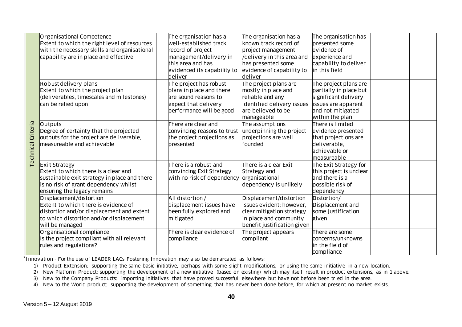|                           | Organisational Competence<br>Extent to which the right level of resources                                                                                                                                                                                                                      |  | The organisation has a<br>well-established track                      | The organisation has a<br>known track record of | The organisation has<br>presented some    |  |  |
|---------------------------|------------------------------------------------------------------------------------------------------------------------------------------------------------------------------------------------------------------------------------------------------------------------------------------------|--|-----------------------------------------------------------------------|-------------------------------------------------|-------------------------------------------|--|--|
|                           | with the necessary skills and organisational                                                                                                                                                                                                                                                   |  | record of project                                                     | project management                              | evidence of                               |  |  |
|                           | capability are in place and effective                                                                                                                                                                                                                                                          |  | management/delivery in                                                | /delivery in this area and                      | experience and                            |  |  |
|                           |                                                                                                                                                                                                                                                                                                |  | this area and has                                                     | has presented some                              | capability to deliver                     |  |  |
|                           |                                                                                                                                                                                                                                                                                                |  | evidenced its capability to                                           | evidence of capability to                       | in this field                             |  |  |
|                           |                                                                                                                                                                                                                                                                                                |  | deliver                                                               | deliver                                         |                                           |  |  |
|                           | Robust delivery plans                                                                                                                                                                                                                                                                          |  | The project has robust                                                | The project plans are                           | The project plans are                     |  |  |
|                           | Extent to which the project plan                                                                                                                                                                                                                                                               |  | plans in place and there                                              | mostly in place and                             | partially in place but                    |  |  |
|                           | (deliverables, timescales and milestones)                                                                                                                                                                                                                                                      |  | are sound reasons to                                                  | reliable and any                                | significant delivery                      |  |  |
|                           | can be relied upon                                                                                                                                                                                                                                                                             |  | expect that delivery                                                  | identified delivery issues                      | issues are apparent                       |  |  |
|                           |                                                                                                                                                                                                                                                                                                |  | performance will be good                                              | are believed to be                              | and not mitigated                         |  |  |
|                           |                                                                                                                                                                                                                                                                                                |  |                                                                       | manageable                                      | within the plan                           |  |  |
| <b>Technical Criteria</b> | Outputs                                                                                                                                                                                                                                                                                        |  | There are clear and                                                   | The assumptions                                 | There is limited                          |  |  |
|                           | Degree of certainty that the projected                                                                                                                                                                                                                                                         |  | convincing reasons to trust                                           | underpinning the project                        | evidence presented                        |  |  |
|                           | outputs for the project are deliverable,                                                                                                                                                                                                                                                       |  | the project projections as                                            | projections are well                            | that projections are                      |  |  |
|                           | measureable and achievable                                                                                                                                                                                                                                                                     |  | presented                                                             | founded                                         | deliverable,                              |  |  |
|                           |                                                                                                                                                                                                                                                                                                |  |                                                                       |                                                 | achievable or                             |  |  |
|                           |                                                                                                                                                                                                                                                                                                |  |                                                                       |                                                 | measureable                               |  |  |
|                           | <b>Exit Strategy</b>                                                                                                                                                                                                                                                                           |  | There is a robust and                                                 | There is a clear Exit                           | The Exit Strategy for                     |  |  |
|                           | <b>Extent to which there is a clear and</b>                                                                                                                                                                                                                                                    |  | convincing Exit Strategy<br>with no risk of dependency organisational | Strategy and                                    | this project is unclear<br>and there is a |  |  |
|                           | sustainable exit strategy in place and there<br>is no risk of grant dependency whilst                                                                                                                                                                                                          |  |                                                                       | dependency is unlikely                          | possible risk of                          |  |  |
|                           | ensuring the legacy remains                                                                                                                                                                                                                                                                    |  |                                                                       |                                                 | dependency                                |  |  |
|                           | Displacement/distortion                                                                                                                                                                                                                                                                        |  | All distortion /                                                      | Displacement/distortion                         | Distortion/                               |  |  |
|                           | Extent to which there is evidence of                                                                                                                                                                                                                                                           |  | displacement issues have                                              | issues evident: however.                        | Displacement and                          |  |  |
|                           | distortion and/or displacement and extent                                                                                                                                                                                                                                                      |  | been fully explored and                                               | clear mitigation strategy                       | some justification                        |  |  |
|                           | to which distortion and/or displacement                                                                                                                                                                                                                                                        |  | mitigated                                                             | in place and community                          | given                                     |  |  |
|                           | will be managed                                                                                                                                                                                                                                                                                |  |                                                                       | benefit justification given                     |                                           |  |  |
|                           | Organisational compliance                                                                                                                                                                                                                                                                      |  | There is clear evidence of                                            | The project appears                             | There are some                            |  |  |
|                           | Is the project compliant with all relevant                                                                                                                                                                                                                                                     |  | compliance                                                            | compliant                                       | concerns/unknowns                         |  |  |
|                           | rules and regulations?                                                                                                                                                                                                                                                                         |  |                                                                       |                                                 | in the field of                           |  |  |
|                           |                                                                                                                                                                                                                                                                                                |  |                                                                       |                                                 | compliance                                |  |  |
|                           | nnovation - For the use of LEADER LAGs Fostering Innovation may also be demarcated as follows:                                                                                                                                                                                                 |  |                                                                       |                                                 |                                           |  |  |
| 1)                        | Product Extension: supporting the same basic initiative, perhaps with some slight modifications; or using the same initiative in a new location.                                                                                                                                               |  |                                                                       |                                                 |                                           |  |  |
| 2)                        | New Platform Product: supporting the development of a new initiative (based on existing) which may itself result in product extensions, as in 1 above.<br>New to the Company Products: importing initiatives that have proved successful elsewhere but have not before been tried in the area. |  |                                                                       |                                                 |                                           |  |  |
| 3)<br>4)                  |                                                                                                                                                                                                                                                                                                |  |                                                                       |                                                 |                                           |  |  |
|                           | New to the World product: supporting the development of something that has never been done before, for which at present no market exists.                                                                                                                                                      |  |                                                                       |                                                 |                                           |  |  |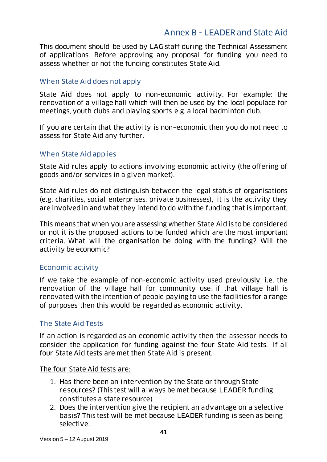#### Annex B - LEADER and State Aid

<span id="page-40-0"></span>This document should be used by LAG staff during the Technical Assessment of applications. Before approving any proposal for funding you need to assess whether or not the funding constitutes State Aid.

#### When State Aid does not apply

State Aid does not apply to non-economic activity. For example: the renovation of a village hall which will then be used by the local populace for meetings, youth clubs and playing sports e.g. a local badminton club.

If you are certain that the activity is non–economic then you do not need to assess for State Aid any further.

#### When State Aid applies

State Aid rules apply to actions involving economic activity (the offering of goods and/or services in a given market).

State Aid rules do not distinguish between the legal status of organisations (e.g. charities, social enterprises, private businesses), it is the activity they are involved in and what they intend to do with the funding that is important.

This means that when you are assessing whether State Aid is to be considered or not it is the proposed actions to be funded which are the most important criteria. What will the organisation be doing with the funding? Will the activity be economic?

#### Economic activity

If we take the example of non-economic activity used previously, i.e. the renovation of the village hall for community use, if that village hall is renovated with the intention of people paying to use the facilities for a range of purposes then this would be regarded as economic activity.

#### The State Aid Tests

If an action is regarded as an economic activity then the assessor needs to consider the application for funding against the four State Aid tests. If all four State Aid tests are met then State Aid is present.

#### The four State Aid tests are:

- 1. Has there been an intervention by the State or through State resources? (This test will always be met because LEADER funding constitutes a state resource)
- 2. Does the intervention give the recipient an advantage on a selective basis? This test will be met because LEADER funding is seen as being selective.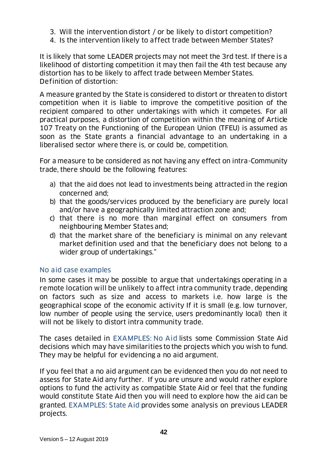- 3. Will the intervention distort / or be likely to distort competition?
- 4. Is the intervention likely to affect trade between Member States?

It is likely that some LEADER projects may not meet the 3rd test. If there is a likelihood of distorting competition it may then fail the 4th test because any distortion has to be likely to affect trade between Member States. Definition of distortion:

A measure granted by the State is considered to distort or threaten to distort competition when it is liable to improve the competitive position of the recipient compared to other undertakings with which it competes. For all practical purposes, a distortion of competition within the meaning of Article 107 Treaty on the Functioning of the European Union (TFEU) is assumed as soon as the State grants a financial advantage to an undertaking in a liberalised sector where there is, or could be, competition.

For a measure to be considered as not having any effect on intra-Community trade, there should be the following features:

- a) that the aid does not lead to investments being attracted in the region concerned and;
- b) that the goods/services produced by the beneficiary are purely local and/or have a geographically limited attraction zone and;
- c) that there is no more than marginal effect on consumers from neighbouring Member States and;
- d) that the market share of the beneficiary is minimal on any relevant market definition used and that the beneficiary does not belong to a wider group of undertakings."

#### No aid case examples

In some cases it may be possible to argue that undertakings operating in a remote location will be unlikely to affect intra community trade, depending on factors such as size and access to markets i.e. how large is the geographical scope of the economic activity If it is small (e.g. low turnover, low number of people using the service, users predominantly local) then it will not be likely to distort intra community trade.

The cases detailed in [EXAMPLES: No Aid](#page-46-0) lists some Commission State Aid decisions which may have similarities to the projects which you wish to fund. They may be helpful for evidencing a no aid argument.

If you feel that a no aid argument can be evidenced then you do not need to assess for State Aid any further. If you are unsure and would rather explore options to fund the activity as compatible State Aid or feel that the funding would constitute State Aid then you will need to explore how the aid can be granted. [EXAMPLES: State Aid](#page-50-0) provides some analysis on previous LEADER projects.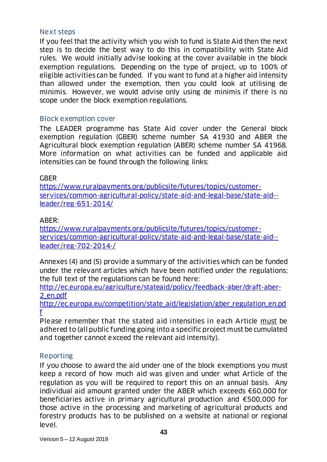#### Next steps

If you feel that the activity which you wish to fund is State Aid then the next step is to decide the best way to do this in compatibility with State Aid rules. We would initially advise looking at the cover available in the block exemption regulations. Depending on the type of project, up to 100% of eligible activities can be funded. If you want to fund at a higher aid intensity than allowed under the exemption, then you could look at utilising de minimis. However, we would advise only using de minimis if there is no scope under the block exemption regulations.

#### Block exemption cover

The LEADER programme has State Aid cover under the General block exemption regulation (GBER) scheme number SA 41930 and ABER the Agricultural block exemption regulation (ABER) scheme number SA 41968. More information on what activities can be funded and applicable aid intensities can be found through the following links:

#### **GBFR**

[https://www.ruralpayments.org/publicsite/futures/topics/customer](https://www.ruralpayments.org/publicsite/futures/topics/customer-services/common-agricultural-policy/state-aid-and-legal-base/state-aid--leader/reg-651-2014/)[services/common-agricultural-policy/state-aid-and-legal-base/state-aid-](https://www.ruralpayments.org/publicsite/futures/topics/customer-services/common-agricultural-policy/state-aid-and-legal-base/state-aid--leader/reg-651-2014/) [leader/reg-651-2014/](https://www.ruralpayments.org/publicsite/futures/topics/customer-services/common-agricultural-policy/state-aid-and-legal-base/state-aid--leader/reg-651-2014/)

#### $\mathsf{ARFR}$

[https://www.ruralpayments.org/publicsite/futures/topics/customer](https://www.ruralpayments.org/publicsite/futures/topics/customer-services/common-agricultural-policy/state-aid-and-legal-base/state-aid--leader/reg-702-2014-/)[services/common-agricultural-policy/state-aid-and-legal-base/state-aid-](https://www.ruralpayments.org/publicsite/futures/topics/customer-services/common-agricultural-policy/state-aid-and-legal-base/state-aid--leader/reg-702-2014-/) [leader/reg-702-2014-/](https://www.ruralpayments.org/publicsite/futures/topics/customer-services/common-agricultural-policy/state-aid-and-legal-base/state-aid--leader/reg-702-2014-/)

Annexes (4) and (5) provide a summary of the activities which can be funded under the relevant articles which have been notified under the regulations; the full text of the regulations can be found here:

[http://ec.europa.eu/agriculture/stateaid/policy/feedback-aber/draft-aber-](http://ec.europa.eu/agriculture/stateaid/policy/feedback-aber/draft-aber-2_en.pdf)[2\\_en.pdf](http://ec.europa.eu/agriculture/stateaid/policy/feedback-aber/draft-aber-2_en.pdf)

[http://ec.europa.eu/competition/state\\_aid/legislation/gber\\_regulation\\_en.pd](http://ec.europa.eu/competition/state_aid/legislation/gber_regulation_en.pdf) [f](http://ec.europa.eu/competition/state_aid/legislation/gber_regulation_en.pdf)

Please remember that the stated aid intensities in each Article must be adhered to (all public funding going into a specific project must be cumulated and together cannot exceed the relevant aid intensity).

#### Reporting

If you choose to award the aid under one of the block exemptions you must keep a record of how much aid was given and under what Article of the regulation as you will be required to report this on an annual basis. Any individual aid amount granted under the ABER which exceeds €60,000 for beneficiaries active in primary agricultural production and €500,000 for those active in the processing and marketing of agricultural products and forestry products has to be published on a website at national or regional level.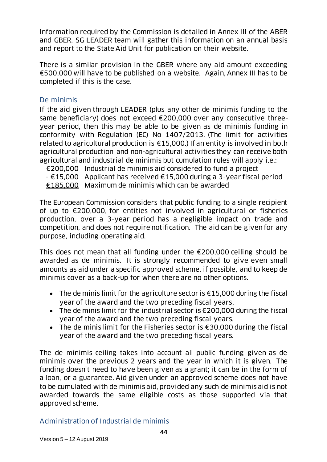Information required by the Commission is detailed in Annex III of the ABER and GBER. SG LEADER team will gather this information on an annual basis and report to the State Aid Unit for publication on their website.

There is a similar provision in the GBER where any aid amount exceeding €500,000 will have to be published on a website. Again, Annex III has to be completed if this is the case.

#### De minimis

If the aid given through LEADER (plus any other de minimis funding to the same beneficiary) does not exceed €200,000 over any consecutive threeyear period, then this may be able to be given as de minimis funding in conformity with Regulation (EC) No 1407/2013. (The limit for activities related to agricultural production is  $\epsilon$ 15,000.) If an entity is involved in both agricultural production and non-agricultural activities they can receive both agricultural and industrial de minimis but cumulation rules will apply i.e.:

€200,000 Industrial de minimis aid considered to fund a project

- €15,000 Applicant has received €15,000 during a 3-year fiscal period

€185,000 Maximum de minimis which can be awarded

The European Commission considers that public funding to a single recipient of up to €200,000, for entities not involved in agricultural or fisheries production, over a 3-year period has a negligible impact on trade and competition, and does not require notification. The aid can be given for any purpose, including operating aid.

This does not mean that all funding under the  $\epsilon$ 200,000 ceiling should be awarded as de minimis. It is strongly recommended to give even small amounts as aid under a specific approved scheme, if possible, and to keep de minimis cover as a back-up for when there are no other options.

- The de minis limit for the agriculture sector is  $\epsilon$ 15,000 during the fiscal year of the award and the two preceding fiscal years.
- The de minis limit for the industrial sector is  $\epsilon$ 200,000 during the fiscal year of the award and the two preceding fiscal years.
- The de minis limit for the Fisheries sector is €30,000 during the fiscal year of the award and the two preceding fiscal years.

The de minimis ceiling takes into account all public funding given as de minimis over the previous 2 years and the year in which it is given. The funding doesn't need to have been given as a grant; it can be in the form of a loan, or a guarantee. Aid given under an approved scheme does not have to be cumulated with de minimis aid, provided any such de minimis aid is not awarded towards the same eligible costs as those supported via that approved scheme.

Administration of Industrial de minimis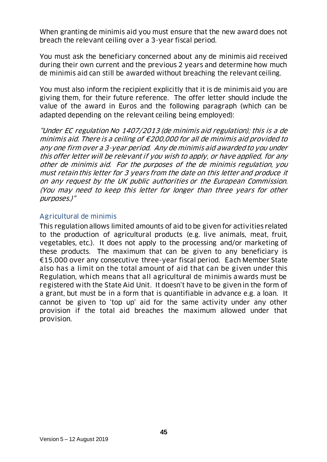When granting de minimis aid you must ensure that the new award does not breach the relevant ceiling over a 3-year fiscal period.

You must ask the beneficiary concerned about any de minimis aid received during their own current and the previous 2 years and determine how much de minimis aid can still be awarded without breaching the relevant ceiling.

You must also inform the recipient explicitly that it is de minimis aid you are giving them, for their future reference. The offer letter should include the value of the award in Euros and the following paragraph (which can be adapted depending on the relevant ceiling being employed):

"Under EC regulation No 1407/2013 (de minimis aid regulation); this is a de minimis aid. There is a ceiling of €200,000 for all de minimis aid provided to any one firm over a 3-year period. Any de minimis aid awarded to you under this offer letter will be relevant if you wish to apply, or have applied, for any other de minimis aid. For the purposes of the de minimis regulation, you must retain this letter for 3 years from the date on this letter and produce it on any request by the UK public authorities or the European Commission. (You may need to keep this letter for longer than three years for other purposes.)"

#### Agricultural de minimis

This regulation allows limited amounts of aid to be given for activities related to the production of agricultural products (e.g. live animals, meat, fruit, vegetables, etc.). It does not apply to the processing and/or marketing of these products. The maximum that can be given to any beneficiary is €15,000 over any consecutive three-year fiscal period. Each Member State also has a limit on the total amount of aid that can be given under this Regulation, which means that all agricultural de minimis awards must be registered with the State Aid Unit. It doesn't have to be given in the form of a grant, but must be in a form that is quantifiable in advance e.g. a loan. It cannot be given to 'top up' aid for the same activity under any other provision if the total aid breaches the maximum allowed under that provision.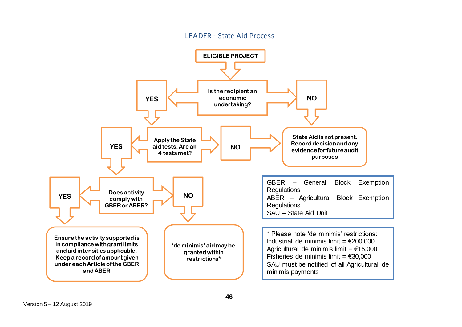#### LEADER - State Aid Process

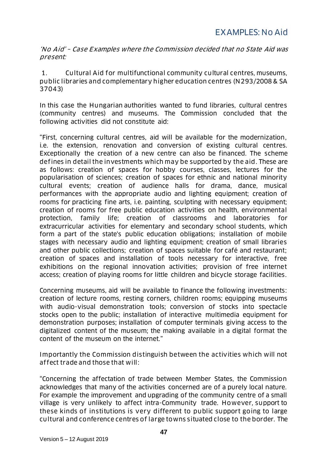<span id="page-46-0"></span>'No Aid' – Case Examples where the Commission decided that no State Aid was present:

1. Cultural Aid for multifunctional community cultural centres, museums, public libraries and complementary higher education centres (N293/2008 & SA 37043)

In this case the Hungarian authorities wanted to fund libraries, cultural centres (community centres) and museums. The Commission concluded that the following activities did not constitute aid:

"First, concerning cultural centres, aid will be available for the modernization, i.e. the extension, renovation and conversion of existing cultural centres. Exceptionally the creation of a new centre can also be financed. The scheme defines in detail the investments which may be supported by the aid. These are as follows: creation of spaces for hobby courses, classes, lectures for the popularisation of sciences; creation of spaces for ethnic and national minority cultural events; creation of audience halls for drama, dance, musical performances with the appropriate audio and lighting equipment; creation of rooms for practicing fine arts, i.e. painting, sculpting with necessary equipment; creation of rooms for free public education activities on health, environmental protection, family life; creation of classrooms and laboratories for extracurricular activities for elementary and secondary school students, which form a part of the state's public education obligations; installation of mobile stages with necessary audio and lighting equipment; creation of small libraries and other public collections; creation of spaces suitable for café and restaurant; creation of spaces and installation of tools necessary for interactive, free exhibitions on the regional innovation activities; provision of free internet access; creation of playing rooms for little children and bicycle storage facilities.

Concerning museums, aid will be available to finance the following investments: creation of lecture rooms, resting corners, children rooms; equipping museums with audio-visual demonstration tools; conversion of stocks into spectacle stocks open to the public; installation of interactive multimedia equipment for demonstration purposes; installation of computer terminals giving access to the digitalized content of the museum; the making available in a digital format the content of the museum on the internet."

Importantly the Commission distinguish between the activities which will not affect trade and those that will:

"Concerning the affectation of trade between Member States, the Commission acknowledges that many of the activities concerned are of a purely local nature. For example the improvement and upgrading of the community centre of a small village is very unlikely to affect intra-Community trade. However, support to these kinds of institutions is very different to public support going to large cultural and conference centres of large towns situated close to the border. The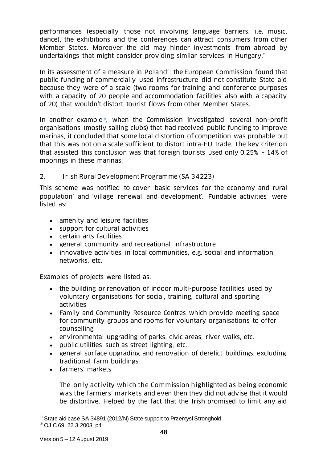performances (especially those not involving language barriers, i.e. music, dance), the exhibitions and the conferences can attract consumers from other Member States. Moreover the aid may hinder investments from abroad by undertakings that might consider providing similar services in Hungary."

In its assessment of a measure in Poland<sup>®</sup>, the European Commission found that public funding of commercially used infrastructure did not constitute State aid because they were of a scale (two rooms for training and conference purposes with a capacity of 20 people and accommodation facilities also with a capacity of 20) that wouldn't distort tourist flows from other Member States.

In another example<sup>®</sup>, when the Commission investigated several non-profit organisations (mostly sailing clubs) that had received public funding to improve marinas, it concluded that some local distortion of competition was probable but that this was not on a scale sufficient to distort intra-EU trade. The key criterion that assisted this conclusion was that foreign tourists used only 0.25% – 14% of moorings in these marinas.

#### 2. Irish Rural Development Programme (SA 34223)

This scheme was notified to cover 'basic services for the economy and rural population' and 'village renewal and development'. Fundable activities were listed as:

- amenity and leisure facilities
- support for cultural activities
- certain arts facilities
- general community and recreational infrastructure
- innovative activities in local communities, e.g. social and information networks, etc.

Examples of projects were listed as:

- the building or renovation of indoor multi-purpose facilities used by voluntary organisations for social, training, cultural and sporting activities
- Family and Community Resource Centres which provide meeting space for community groups and rooms for voluntary organisations to offer counselling
- environmental upgrading of parks, civic areas, river walks, etc.
- public utilities such as street lighting, etc.
- general surface upgrading and renovation of derelict buildings, excluding traditional farm buildings
- farmers' markets

The only activity which the Commission highlighted as being economic was the farmers' markets and even then they did not advise that it would be distortive. Helped by the fact that the Irish promised to limit any aid

l  $^{\circ}$  State aid case SA.34891 (2012/N) State support to Przemysl Stronghold

OJ C 69, 22.3.2003, p4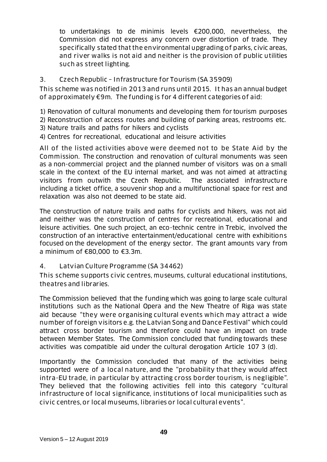to undertakings to de minimis levels €200,000, nevertheless, the Commission did not express any concern over distortion of trade. They specifically stated that the environmental upgrading of parks, civic areas, and river walks is not aid and neither is the provision of public utilities such as street lighting.

3. Czech Republic – Infrastructure for Tourism (SA 35909)

This scheme was notified in 2013 and runs until 2015. It has an annual budget of approximately €9m. The funding is for 4 different categories of aid:

1) Renovation of cultural monuments and developing them for tourism purposes

2) Reconstruction of access routes and building of parking areas, restrooms etc.

- 3) Nature trails and paths for hikers and cyclists
- 4) Centres for recreational, educational and leisure activities

All of the listed activities above were deemed not to be State Aid by the Commission. The construction and renovation of cultural monuments was seen as a non-commercial project and the planned number of visitors was on a small scale in the context of the EU internal market, and was not aimed at attracting visitors from outwith the Czech Republic. The associated infrastructure including a ticket office, a souvenir shop and a multifunctional space for rest and relaxation was also not deemed to be state aid.

The construction of nature trails and paths for cyclists and hikers, was not aid and neither was the construction of centres for recreational, educational and leisure activities. One such project, an eco-technic centre in Trebic, involved the construction of an interactive entertainment/educational centre with exhibitions focused on the development of the energy sector. The grant amounts vary from a minimum of €80,000 to €3.3m.

#### 4. Latvian Culture Programme (SA 34462)

This scheme supports civic centres, museums, cultural educational institutions, theatres and libraries.

The Commission believed that the funding which was going to large scale cultural institutions such as the National Opera and the New Theatre of Riga was state aid because "they were organising cultural events which may attract a wide number of foreign visitors e.g. the Latvian Song and Dance Festival" which could attract cross border tourism and therefore could have an impact on trade between Member States. The Commission concluded that funding towards these activities was compatible aid under the cultural derogation Article 107 3 (d).

Importantly the Commission concluded that many of the activities being supported were of a local nature, and the "probability that they would affect intra-EU trade, in particular by attracting cross border tourism, is negligible". They believed that the following activities fell into this category "cultural infrastructure of local significance, institutions of local municipalities such as civic centres, or local museums, libraries or local cultural events".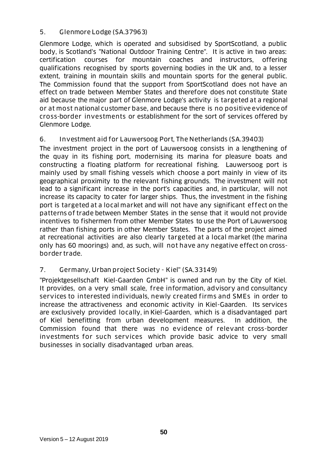#### 5. Glenmore Lodge (SA.37963)

Glenmore Lodge, which is operated and subsidised by SportScotland, a public body, is Scotland's "National Outdoor Training Centre". It is active in two areas: certification courses for mountain coaches and instructors, offering qualifications recognised by sports governing bodies in the UK and, to a lesser extent, training in mountain skills and mountain sports for the general public. The Commission found that the support from SportScotland does not have an effect on trade between Member States and therefore does not constitute State aid because the major part of Glenmore Lodge's activity is targeted at a regional or at most national customer base, and because there is no positive evidence of cross-border investments or establishment for the sort of services offered by Glenmore Lodge.

#### 6. Investment aid for Lauwersoog Port, The Netherlands (SA.39403)

The investment project in the port of Lauwersoog consists in a lengthening of the quay in its fishing port, modernising its marina for pleasure boats and constructing a floating platform for recreational fishing. Lauwersoog port is mainly used by small fishing vessels which choose a port mainly in view of its geographical proximity to the relevant fishing grounds. The investment will not lead to a significant increase in the port's capacities and, in particular, will not increase its capacity to cater for larger ships. Thus, the investment in the fishing port is targeted at a local market and will not have any significant effect on the patterns of trade between Member States in the sense that it would not provide incentives to fishermen from other Member States to use the Port of Lauwersoog rather than fishing ports in other Member States. The parts of the project aimed at recreational activities are also clearly targeted at a local market (the marina only has 60 moorings) and, as such, will not have any negative effect on crossborder trade.

#### 7. Germany, Urban project Society - Kiel" (SA.33149)

"Projektgesellschaft Kiel-Gaarden GmbH" is owned and run by the City of Kiel. It provides, on a very small scale, free information, advisory and consultancy services to interested individuals, newly created firms and SMEs in order to increase the attractiveness and economic activity in Kiel-Gaarden. Its services are exclusively provided locally, in Kiel-Gaarden, which is a disadvantaged part of Kiel benefitting from urban development measures. In addition, the Commission found that there was no evidence of relevant cross-border investments for such services which provide basic advice to very small businesses in socially disadvantaged urban areas.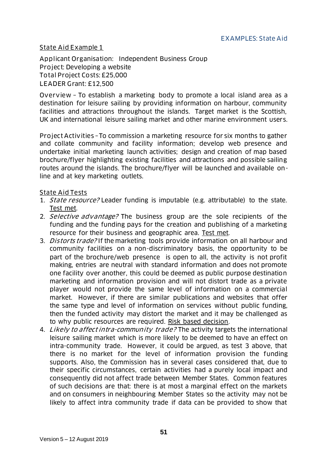#### <span id="page-50-0"></span>State Aid Example 1

Applicant Organisation: Independent Business Group Project: Developing a website Total Project Costs: £25,000 LEADER Grant: £12,500

Overview – To establish a marketing body to promote a local island area as a destination for leisure sailing by providing information on harbour, community facilities and attractions throughout the islands. Target market is the Scottish, UK and international leisure sailing market and other marine environment users.

Project Activities –To commission a marketing resource for six months to gather and collate community and facility information; develop web presence and undertake initial marketing launch activities; design and creation of map based brochure/flyer highlighting existing facilities and attractions and possible sailing routes around the islands. The brochure/flyer will be launched and available online and at key marketing outlets.

#### State Aid Tests

- 1. *State resource?* Leader funding is imputable (e.g. attributable) to the state. Test met.
- 2. Selective advantage? The business group are the sole recipients of the funding and the funding pays for the creation and publishing of a marketing resource for their business and geographic area. Test met.
- 3. *Distorts trade?* If the marketing tools provide information on all harbour and community facilities on a non-discriminatory basis, the opportunity to be part of the brochure/web presence is open to all, the activity is not profit making, entries are neutral with standard information and does not promote one facility over another, this could be deemed as public purpose destination marketing and information provision and will not distort trade as a private player would not provide the same level of information on a commercial market. However, if there are similar publications and websites that offer the same type and level of information on services without public funding, then the funded activity may distort the market and it may be challenged as to why public resources are required. Risk based decision.
- 4. Likely to affect intra-community trade? The activity targets the international leisure sailing market which is more likely to be deemed to have an effect on intra-community trade. However, it could be argued, as test 3 above, that there is no market for the level of information provision the funding supports. Also, the Commission has in several cases considered that, due to their specific circumstances, certain activities had a purely local impact and consequently did not affect trade between Member States. Common features of such decisions are that: there is at most a marginal effect on the markets and on consumers in neighbouring Member States so the activity may not be likely to affect intra community trade if data can be provided to show that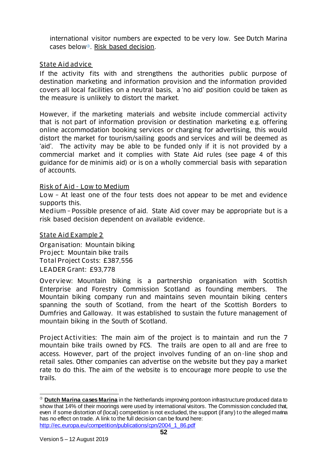international visitor numbers are expected to be very low. See Dutch Marina cases below<sup>®</sup>. Risk based decision.

#### State Aid advice

If the activity fits with and strengthens the authorities public purpose of destination marketing and information provision and the information provided covers all local facilities on a neutral basis, a 'no aid' position could be taken as the measure is unlikely to distort the market.

However, if the marketing materials and website include commercial activity that is not part of information provision or destination marketing e.g. offering online accommodation booking services or charging for advertising, this would distort the market for tourism/sailing goods and services and will be deemed as 'aid'. The activity may be able to be funded only if it is not provided by a commercial market and it complies with State Aid rules (see page 4 of this guidance for de minimis aid) or is on a wholly commercial basis with separation of accounts.

#### Risk of Aid - Low to Medium

Low – At least one of the four tests does not appear to be met and evidence supports this.

Medium – Possible presence of aid. State Aid cover may be appropriate but is a risk based decision dependent on available evidence.

#### State Aid Example 2

Organisation: Mountain biking Project: Mountain bike trails Total Project Costs: £387,556 LEADER Grant: £93,778

Overview: Mountain biking is a partnership organisation with Scottish Enterprise and Forestry Commission Scotland as founding members. The Mountain biking company run and maintains seven mountain biking centers spanning the south of Scotland, from the heart of the Scottish Borders to Dumfries and Galloway. It was established to sustain the future management of mountain biking in the South of Scotland.

Project Activities: The main aim of the project is to maintain and run the 7 mountain bike trails owned by FCS. The trails are open to all and are free to access. However, part of the project involves funding of an on-line shop and retail sales. Other companies can advertise on the website but they pay a market rate to do this. The aim of the website is to encourage more people to use the trails.

l

**Dutch Marina cases Marina** in the Netherlands improving pontoon infrastructure produced data to show that 14% of their moorings were used by international visitors. The Commission concluded that, even if some distortion of (local) competition is not excluded, the support (if any) to the alleged marina has no effect on trade. A link to the full decision can be found here: [http://ec.europa.eu/competition/publications/cpn/2004\\_1\\_86.pdf](http://ec.europa.eu/competition/publications/cpn/2004_1_86.pdf)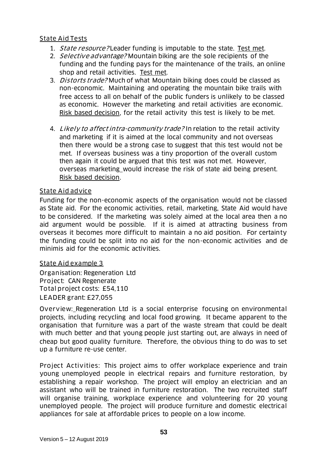#### State Aid Tests

- 1. *State resource?* Leader funding is imputable to the state. Test met.
- 2. Selective advantage? Mountain biking are the sole recipients of the funding and the funding pays for the maintenance of the trails, an online shop and retail activities. Test met.
- 3. *Distorts trade?* Much of what Mountain biking does could be classed as non-economic. Maintaining and operating the mountain bike trails with free access to all on behalf of the public funders is unlikely to be classed as economic. However the marketing and retail activities are economic. Risk based decision, for the retail activity this test is likely to be met.
- 4. Likely to affect intra-community trade? In relation to the retail activity and marketing if it is aimed at the local community and not overseas then there would be a strong case to suggest that this test would not be met. If overseas business was a tiny proportion of the overall custom then again it could be argued that this test was not met. However, overseas marketing would increase the risk of state aid being present. Risk based decision.

#### State Aid advice

Funding for the non-economic aspects of the organisation would not be classed as State aid. For the economic activities, retail, marketing, State Aid would have to be considered. If the marketing was solely aimed at the local area then a no aid argument would be possible. If it is aimed at attracting business from overseas it becomes more difficult to maintain a no aid position. For certainty the funding could be split into no aid for the non-economic activities and de minimis aid for the economic activities.

#### State Aid example 3

Organisation: Regeneration Ltd Project: CAN Regenerate Total project costs: £54,110 LEADER grant: £27,055

Overview: Regeneration Ltd is a social enterprise focusing on environmental projects, including recycling and local food growing. It became apparent to the organisation that furniture was a part of the waste stream that could be dealt with much better and that young people just starting out, are always in need of cheap but good quality furniture. Therefore, the obvious thing to do was to set up a furniture re-use center.

Project Activities: This project aims to offer workplace experience and train young unemployed people in electrical repairs and furniture restoration, by establishing a repair workshop. The project will employ an electrician and an assistant who will be trained in furniture restoration. The two recruited staff will organise training, workplace experience and volunteering for 20 young unemployed people. The project will produce furniture and domestic electrical appliances for sale at affordable prices to people on a low income.